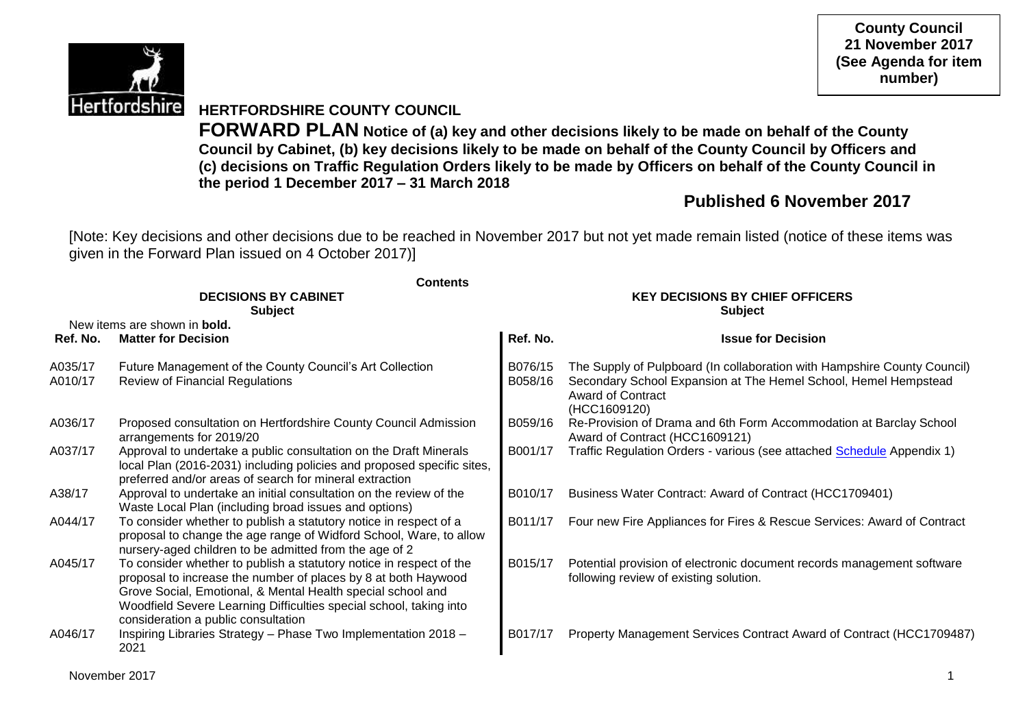

**County Council 21 November 2017 (See Agenda for item number)**

## **HERTFORDSHIRE COUNTY COUNCIL**

**FORWARD PLAN Notice of (a) key and other decisions likely to be made on behalf of the County Council by Cabinet, (b) key decisions likely to be made on behalf of the County Council by Officers and (c) decisions on Traffic Regulation Orders likely to be made by Officers on behalf of the County Council in the period 1 December 2017 – 31 March 2018**

# **Published 6 November 2017**

[Note: Key decisions and other decisions due to be reached in November 2017 but not yet made remain listed (notice of these items was given in the Forward Plan issued on 4 October 2017)]

|                    | <b>Contents</b>                                                                                                                                                                                                                                                                                                   |                                                          |                                                                                                                                                                                         |  |  |  |
|--------------------|-------------------------------------------------------------------------------------------------------------------------------------------------------------------------------------------------------------------------------------------------------------------------------------------------------------------|----------------------------------------------------------|-----------------------------------------------------------------------------------------------------------------------------------------------------------------------------------------|--|--|--|
|                    | <b>DECISIONS BY CABINET</b><br><b>Subject</b>                                                                                                                                                                                                                                                                     | <b>KEY DECISIONS BY CHIEF OFFICERS</b><br><b>Subject</b> |                                                                                                                                                                                         |  |  |  |
|                    | New items are shown in <b>bold.</b>                                                                                                                                                                                                                                                                               |                                                          |                                                                                                                                                                                         |  |  |  |
| Ref. No.           | <b>Matter for Decision</b>                                                                                                                                                                                                                                                                                        | Ref. No.                                                 | <b>Issue for Decision</b>                                                                                                                                                               |  |  |  |
| A035/17<br>A010/17 | Future Management of the County Council's Art Collection<br><b>Review of Financial Regulations</b>                                                                                                                                                                                                                | B076/15<br>B058/16                                       | The Supply of Pulpboard (In collaboration with Hampshire County Council)<br>Secondary School Expansion at The Hemel School, Hemel Hempstead<br><b>Award of Contract</b><br>(HCC1609120) |  |  |  |
| A036/17            | Proposed consultation on Hertfordshire County Council Admission<br>arrangements for 2019/20                                                                                                                                                                                                                       | B059/16                                                  | Re-Provision of Drama and 6th Form Accommodation at Barclay School<br>Award of Contract (HCC1609121)                                                                                    |  |  |  |
| A037/17            | Approval to undertake a public consultation on the Draft Minerals<br>local Plan (2016-2031) including policies and proposed specific sites,<br>preferred and/or areas of search for mineral extraction                                                                                                            | B001/17                                                  | Traffic Regulation Orders - various (see attached Schedule Appendix 1)                                                                                                                  |  |  |  |
| A38/17             | Approval to undertake an initial consultation on the review of the<br>Waste Local Plan (including broad issues and options)                                                                                                                                                                                       | B010/17                                                  | Business Water Contract: Award of Contract (HCC1709401)                                                                                                                                 |  |  |  |
| A044/17            | To consider whether to publish a statutory notice in respect of a<br>proposal to change the age range of Widford School, Ware, to allow<br>nursery-aged children to be admitted from the age of 2                                                                                                                 | B011/17                                                  | Four new Fire Appliances for Fires & Rescue Services: Award of Contract                                                                                                                 |  |  |  |
| A045/17            | To consider whether to publish a statutory notice in respect of the<br>proposal to increase the number of places by 8 at both Haywood<br>Grove Social, Emotional, & Mental Health special school and<br>Woodfield Severe Learning Difficulties special school, taking into<br>consideration a public consultation | B015/17                                                  | Potential provision of electronic document records management software<br>following review of existing solution.                                                                        |  |  |  |
| A046/17            | Inspiring Libraries Strategy - Phase Two Implementation 2018 -<br>2021                                                                                                                                                                                                                                            | B017/17                                                  | Property Management Services Contract Award of Contract (HCC1709487)                                                                                                                    |  |  |  |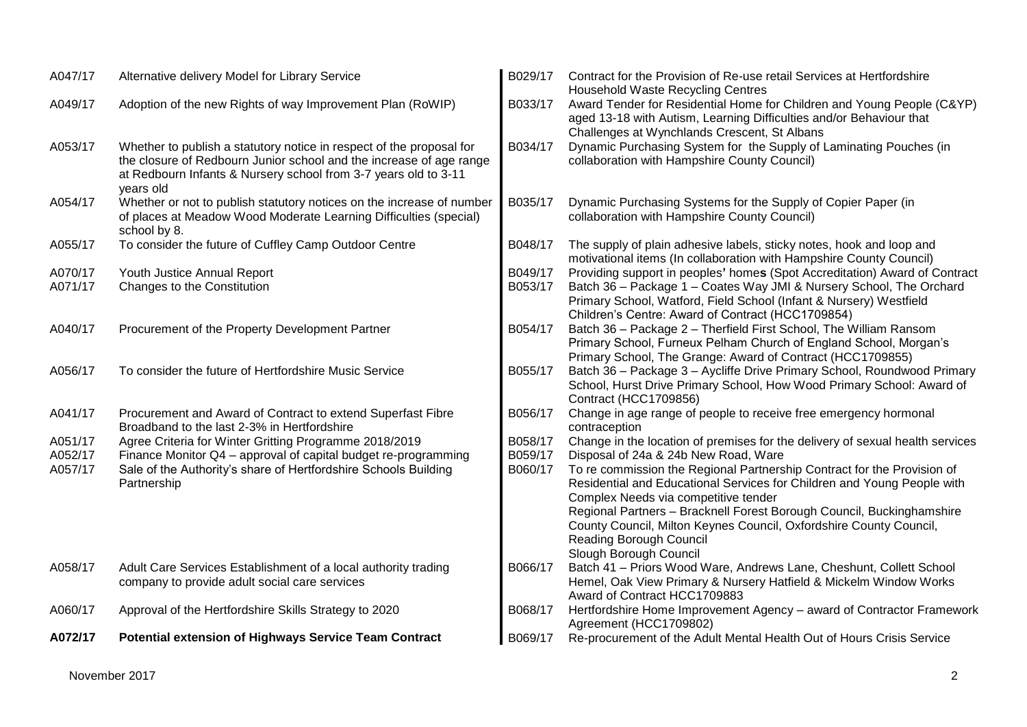| A047/17            | Alternative delivery Model for Library Service                                                                                                                                                                              | B029/17            | Contract for the Provision of Re-use retail Services at Hertfordshire<br>Household Waste Recycling Centres                                                                                           |
|--------------------|-----------------------------------------------------------------------------------------------------------------------------------------------------------------------------------------------------------------------------|--------------------|------------------------------------------------------------------------------------------------------------------------------------------------------------------------------------------------------|
| A049/17            | Adoption of the new Rights of way Improvement Plan (RoWIP)                                                                                                                                                                  | B033/17            | Award Tender for Residential Home for Children and Young People (C&YP)<br>aged 13-18 with Autism, Learning Difficulties and/or Behaviour that<br>Challenges at Wynchlands Crescent, St Albans        |
| A053/17            | Whether to publish a statutory notice in respect of the proposal for<br>the closure of Redbourn Junior school and the increase of age range<br>at Redbourn Infants & Nursery school from 3-7 years old to 3-11<br>years old | B034/17            | Dynamic Purchasing System for the Supply of Laminating Pouches (in<br>collaboration with Hampshire County Council)                                                                                   |
| A054/17            | Whether or not to publish statutory notices on the increase of number<br>of places at Meadow Wood Moderate Learning Difficulties (special)<br>school by 8.                                                                  | B035/17            | Dynamic Purchasing Systems for the Supply of Copier Paper (in<br>collaboration with Hampshire County Council)                                                                                        |
| A055/17            | To consider the future of Cuffley Camp Outdoor Centre                                                                                                                                                                       | B048/17            | The supply of plain adhesive labels, sticky notes, hook and loop and<br>motivational items (In collaboration with Hampshire County Council)                                                          |
| A070/17            | Youth Justice Annual Report                                                                                                                                                                                                 | B049/17            | Providing support in peoples' homes (Spot Accreditation) Award of Contract                                                                                                                           |
| A071/17            | Changes to the Constitution                                                                                                                                                                                                 | B053/17            | Batch 36 - Package 1 - Coates Way JMI & Nursery School, The Orchard<br>Primary School, Watford, Field School (Infant & Nursery) Westfield<br>Children's Centre: Award of Contract (HCC1709854)       |
| A040/17            | Procurement of the Property Development Partner                                                                                                                                                                             | B054/17            | Batch 36 - Package 2 - Therfield First School, The William Ransom<br>Primary School, Furneux Pelham Church of England School, Morgan's<br>Primary School, The Grange: Award of Contract (HCC1709855) |
| A056/17            | To consider the future of Hertfordshire Music Service                                                                                                                                                                       | B055/17            | Batch 36 - Package 3 - Aycliffe Drive Primary School, Roundwood Primary<br>School, Hurst Drive Primary School, How Wood Primary School: Award of<br><b>Contract (HCC1709856)</b>                     |
| A041/17            | Procurement and Award of Contract to extend Superfast Fibre<br>Broadband to the last 2-3% in Hertfordshire                                                                                                                  | B056/17            | Change in age range of people to receive free emergency hormonal<br>contraception                                                                                                                    |
| A051/17<br>A052/17 | Agree Criteria for Winter Gritting Programme 2018/2019<br>Finance Monitor Q4 - approval of capital budget re-programming                                                                                                    | B058/17<br>B059/17 | Change in the location of premises for the delivery of sexual health services<br>Disposal of 24a & 24b New Road, Ware                                                                                |
| A057/17            | Sale of the Authority's share of Hertfordshire Schools Building<br>Partnership                                                                                                                                              | B060/17            | To re commission the Regional Partnership Contract for the Provision of<br>Residential and Educational Services for Children and Young People with<br>Complex Needs via competitive tender           |
|                    |                                                                                                                                                                                                                             |                    | Regional Partners - Bracknell Forest Borough Council, Buckinghamshire<br>County Council, Milton Keynes Council, Oxfordshire County Council,<br>Reading Borough Council<br>Slough Borough Council     |
| A058/17            | Adult Care Services Establishment of a local authority trading<br>company to provide adult social care services                                                                                                             | B066/17            | Batch 41 - Priors Wood Ware, Andrews Lane, Cheshunt, Collett School<br>Hemel, Oak View Primary & Nursery Hatfield & Mickelm Window Works<br>Award of Contract HCC1709883                             |
| A060/17            | Approval of the Hertfordshire Skills Strategy to 2020                                                                                                                                                                       | B068/17            | Hertfordshire Home Improvement Agency - award of Contractor Framework<br>Agreement (HCC1709802)                                                                                                      |
| A072/17            | <b>Potential extension of Highways Service Team Contract</b>                                                                                                                                                                | B069/17            | Re-procurement of the Adult Mental Health Out of Hours Crisis Service                                                                                                                                |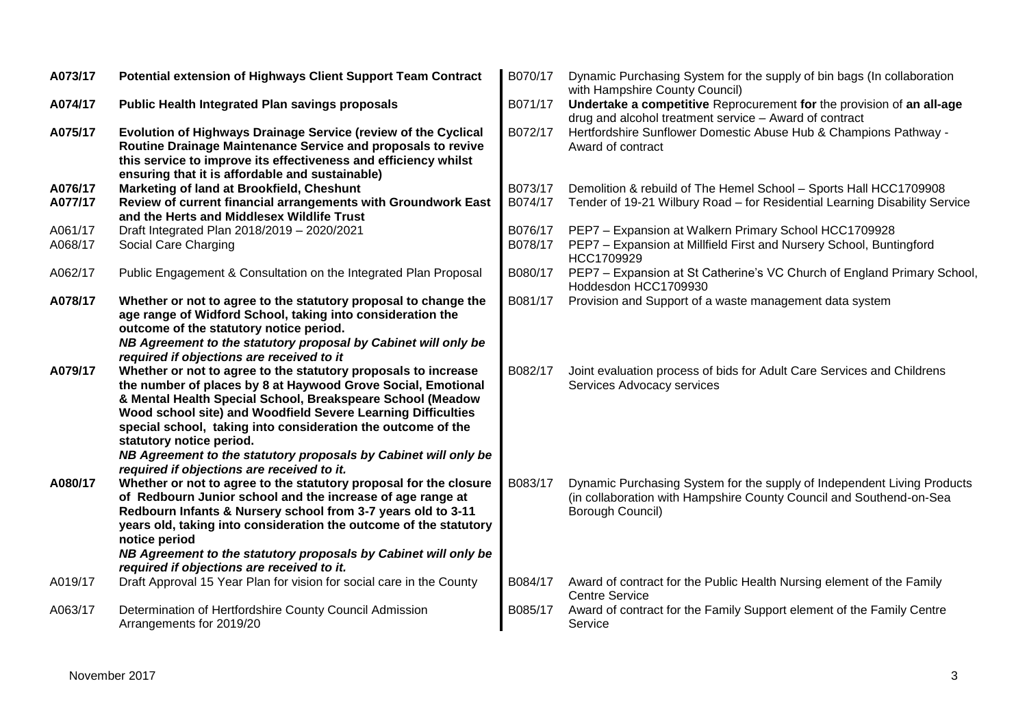| A073/17 | Potential extension of Highways Client Support Team Contract                                                                                                                                                                                                                                                                                                                                                                                                              | B070/17 | Dynamic Purchasing System for the supply of bin bags (In collaboration<br>with Hampshire County Council)                                                           |
|---------|---------------------------------------------------------------------------------------------------------------------------------------------------------------------------------------------------------------------------------------------------------------------------------------------------------------------------------------------------------------------------------------------------------------------------------------------------------------------------|---------|--------------------------------------------------------------------------------------------------------------------------------------------------------------------|
| A074/17 | <b>Public Health Integrated Plan savings proposals</b>                                                                                                                                                                                                                                                                                                                                                                                                                    | B071/17 | Undertake a competitive Reprocurement for the provision of an all-age<br>drug and alcohol treatment service - Award of contract                                    |
| A075/17 | Evolution of Highways Drainage Service (review of the Cyclical<br>Routine Drainage Maintenance Service and proposals to revive<br>this service to improve its effectiveness and efficiency whilst<br>ensuring that it is affordable and sustainable)                                                                                                                                                                                                                      | B072/17 | Hertfordshire Sunflower Domestic Abuse Hub & Champions Pathway -<br>Award of contract                                                                              |
| A076/17 | Marketing of land at Brookfield, Cheshunt                                                                                                                                                                                                                                                                                                                                                                                                                                 | B073/17 | Demolition & rebuild of The Hemel School - Sports Hall HCC1709908                                                                                                  |
| A077/17 | Review of current financial arrangements with Groundwork East<br>and the Herts and Middlesex Wildlife Trust                                                                                                                                                                                                                                                                                                                                                               | B074/17 | Tender of 19-21 Wilbury Road - for Residential Learning Disability Service                                                                                         |
| A061/17 | Draft Integrated Plan 2018/2019 - 2020/2021                                                                                                                                                                                                                                                                                                                                                                                                                               | B076/17 | PEP7 - Expansion at Walkern Primary School HCC1709928                                                                                                              |
| A068/17 | Social Care Charging                                                                                                                                                                                                                                                                                                                                                                                                                                                      | B078/17 | PEP7 - Expansion at Millfield First and Nursery School, Buntingford<br>HCC1709929                                                                                  |
| A062/17 | Public Engagement & Consultation on the Integrated Plan Proposal                                                                                                                                                                                                                                                                                                                                                                                                          | B080/17 | PEP7 - Expansion at St Catherine's VC Church of England Primary School,<br>Hoddesdon HCC1709930                                                                    |
| A078/17 | Whether or not to agree to the statutory proposal to change the<br>age range of Widford School, taking into consideration the<br>outcome of the statutory notice period.<br>NB Agreement to the statutory proposal by Cabinet will only be                                                                                                                                                                                                                                | B081/17 | Provision and Support of a waste management data system                                                                                                            |
| A079/17 | required if objections are received to it<br>Whether or not to agree to the statutory proposals to increase<br>the number of places by 8 at Haywood Grove Social, Emotional<br>& Mental Health Special School, Breakspeare School (Meadow<br>Wood school site) and Woodfield Severe Learning Difficulties<br>special school, taking into consideration the outcome of the<br>statutory notice period.                                                                     | B082/17 | Joint evaluation process of bids for Adult Care Services and Childrens<br>Services Advocacy services                                                               |
| A080/17 | NB Agreement to the statutory proposals by Cabinet will only be<br>required if objections are received to it.<br>Whether or not to agree to the statutory proposal for the closure<br>of Redbourn Junior school and the increase of age range at<br>Redbourn Infants & Nursery school from 3-7 years old to 3-11<br>years old, taking into consideration the outcome of the statutory<br>notice period<br>NB Agreement to the statutory proposals by Cabinet will only be | B083/17 | Dynamic Purchasing System for the supply of Independent Living Products<br>(in collaboration with Hampshire County Council and Southend-on-Sea<br>Borough Council) |
|         | required if objections are received to it.                                                                                                                                                                                                                                                                                                                                                                                                                                |         |                                                                                                                                                                    |
| A019/17 | Draft Approval 15 Year Plan for vision for social care in the County                                                                                                                                                                                                                                                                                                                                                                                                      | B084/17 | Award of contract for the Public Health Nursing element of the Family<br><b>Centre Service</b>                                                                     |
| A063/17 | Determination of Hertfordshire County Council Admission<br>Arrangements for 2019/20                                                                                                                                                                                                                                                                                                                                                                                       | B085/17 | Award of contract for the Family Support element of the Family Centre<br>Service                                                                                   |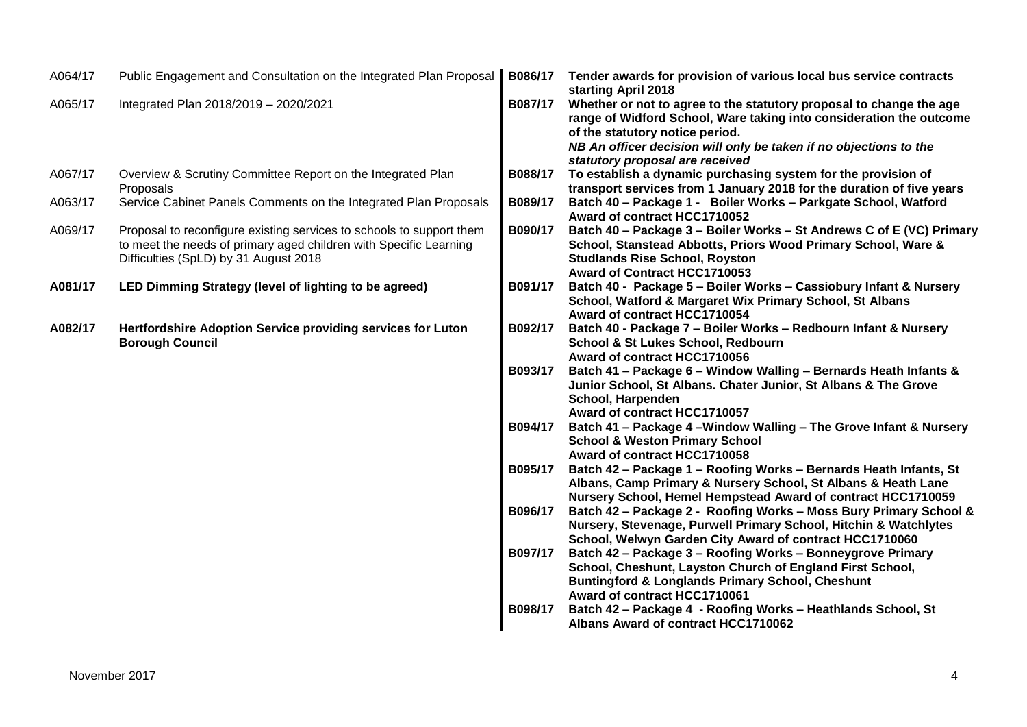| A064/17 | Public Engagement and Consultation on the Integrated Plan Proposal                                                                                                                 | B086/17 | Tender awards for provision of various local bus service contracts<br>starting April 2018                                                                                                                              |
|---------|------------------------------------------------------------------------------------------------------------------------------------------------------------------------------------|---------|------------------------------------------------------------------------------------------------------------------------------------------------------------------------------------------------------------------------|
| A065/17 | Integrated Plan 2018/2019 - 2020/2021                                                                                                                                              | B087/17 | Whether or not to agree to the statutory proposal to change the age<br>range of Widford School, Ware taking into consideration the outcome<br>of the statutory notice period.                                          |
|         |                                                                                                                                                                                    |         | NB An officer decision will only be taken if no objections to the<br>statutory proposal are received                                                                                                                   |
| A067/17 | Overview & Scrutiny Committee Report on the Integrated Plan<br>Proposals                                                                                                           | B088/17 | To establish a dynamic purchasing system for the provision of<br>transport services from 1 January 2018 for the duration of five years                                                                                 |
| A063/17 | Service Cabinet Panels Comments on the Integrated Plan Proposals                                                                                                                   | B089/17 | Batch 40 - Package 1 - Boiler Works - Parkgate School, Watford<br>Award of contract HCC1710052                                                                                                                         |
| A069/17 | Proposal to reconfigure existing services to schools to support them<br>to meet the needs of primary aged children with Specific Learning<br>Difficulties (SpLD) by 31 August 2018 | B090/17 | Batch 40 - Package 3 - Boiler Works - St Andrews C of E (VC) Primary<br>School, Stanstead Abbotts, Priors Wood Primary School, Ware &<br><b>Studlands Rise School, Royston</b><br>Award of Contract HCC1710053         |
| A081/17 | LED Dimming Strategy (level of lighting to be agreed)                                                                                                                              | B091/17 | Batch 40 - Package 5 - Boiler Works - Cassiobury Infant & Nursery<br>School, Watford & Margaret Wix Primary School, St Albans<br>Award of contract HCC1710054                                                          |
| A082/17 | Hertfordshire Adoption Service providing services for Luton<br><b>Borough Council</b>                                                                                              | B092/17 | Batch 40 - Package 7 - Boiler Works - Redbourn Infant & Nursery<br>School & St Lukes School, Redbourn<br>Award of contract HCC1710056                                                                                  |
|         |                                                                                                                                                                                    | B093/17 | Batch 41 - Package 6 - Window Walling - Bernards Heath Infants &<br>Junior School, St Albans. Chater Junior, St Albans & The Grove<br>School, Harpenden<br>Award of contract HCC1710057                                |
|         |                                                                                                                                                                                    | B094/17 | Batch 41 - Package 4 - Window Walling - The Grove Infant & Nursery<br><b>School &amp; Weston Primary School</b><br>Award of contract HCC1710058                                                                        |
|         |                                                                                                                                                                                    | B095/17 | Batch 42 - Package 1 - Roofing Works - Bernards Heath Infants, St<br>Albans, Camp Primary & Nursery School, St Albans & Heath Lane<br>Nursery School, Hemel Hempstead Award of contract HCC1710059                     |
|         |                                                                                                                                                                                    | B096/17 | Batch 42 - Package 2 - Roofing Works - Moss Bury Primary School &<br>Nursery, Stevenage, Purwell Primary School, Hitchin & Watchlytes<br>School, Welwyn Garden City Award of contract HCC1710060                       |
|         |                                                                                                                                                                                    | B097/17 | Batch 42 - Package 3 - Roofing Works - Bonneygrove Primary<br>School, Cheshunt, Layston Church of England First School,<br><b>Buntingford &amp; Longlands Primary School, Cheshunt</b><br>Award of contract HCC1710061 |
|         |                                                                                                                                                                                    | B098/17 | Batch 42 - Package 4 - Roofing Works - Heathlands School, St<br>Albans Award of contract HCC1710062                                                                                                                    |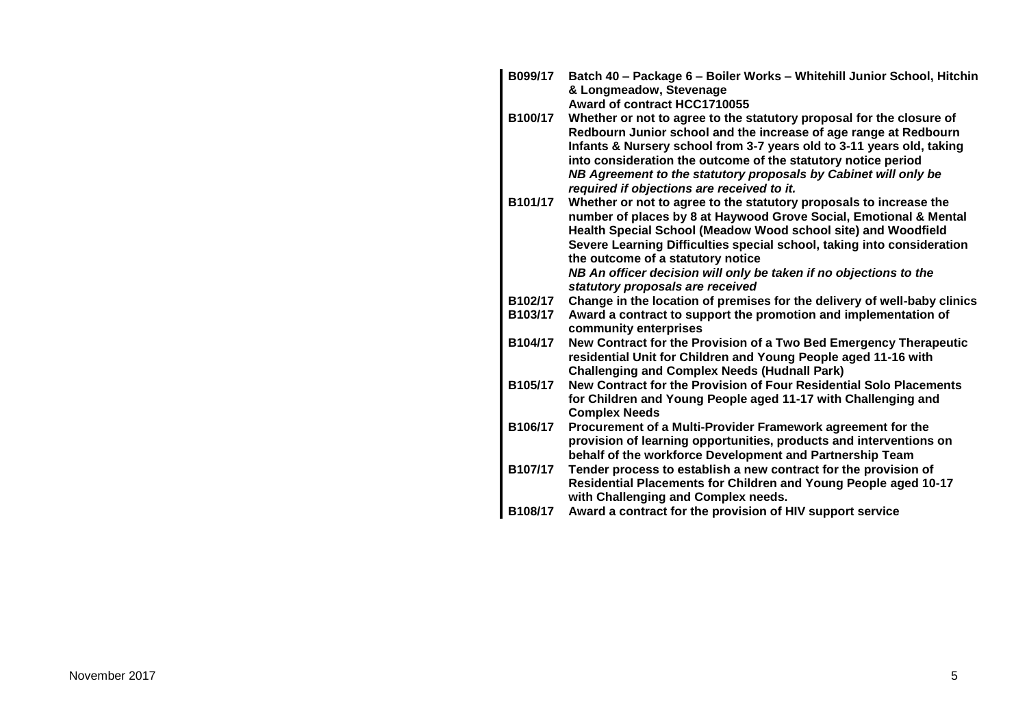| B099/17 | Batch 40 - Package 6 - Boiler Works - Whitehill Junior School, Hitchin<br>& Longmeadow, Stevenage                                        |
|---------|------------------------------------------------------------------------------------------------------------------------------------------|
|         | Award of contract HCC1710055                                                                                                             |
| B100/17 | Whether or not to agree to the statutory proposal for the closure of<br>Redbourn Junior school and the increase of age range at Redbourn |
|         | Infants & Nursery school from 3-7 years old to 3-11 years old, taking                                                                    |
|         | into consideration the outcome of the statutory notice period                                                                            |
|         | NB Agreement to the statutory proposals by Cabinet will only be<br>required if objections are received to it.                            |
| B101/17 | Whether or not to agree to the statutory proposals to increase the<br>number of places by 8 at Haywood Grove Social, Emotional & Mental  |
|         | Health Special School (Meadow Wood school site) and Woodfield                                                                            |
|         | Severe Learning Difficulties special school, taking into consideration                                                                   |
|         | the outcome of a statutory notice                                                                                                        |
|         | NB An officer decision will only be taken if no objections to the                                                                        |
|         | statutory proposals are received                                                                                                         |
| B102/17 | Change in the location of premises for the delivery of well-baby clinics                                                                 |
| B103/17 | Award a contract to support the promotion and implementation of<br>community enterprises                                                 |
| B104/17 | New Contract for the Provision of a Two Bed Emergency Therapeutic                                                                        |
|         | residential Unit for Children and Young People aged 11-16 with                                                                           |
|         | <b>Challenging and Complex Needs (Hudnall Park)</b>                                                                                      |
| B105/17 | New Contract for the Provision of Four Residential Solo Placements                                                                       |
|         | for Children and Young People aged 11-17 with Challenging and<br><b>Complex Needs</b>                                                    |
| B106/17 | Procurement of a Multi-Provider Framework agreement for the                                                                              |
|         | provision of learning opportunities, products and interventions on                                                                       |
|         | behalf of the workforce Development and Partnership Team                                                                                 |
| B107/17 | Tender process to establish a new contract for the provision of                                                                          |
|         | Residential Placements for Children and Young People aged 10-17<br>with Challenging and Complex needs.                                   |
| B108/17 | Award a contract for the provision of HIV support service                                                                                |
|         |                                                                                                                                          |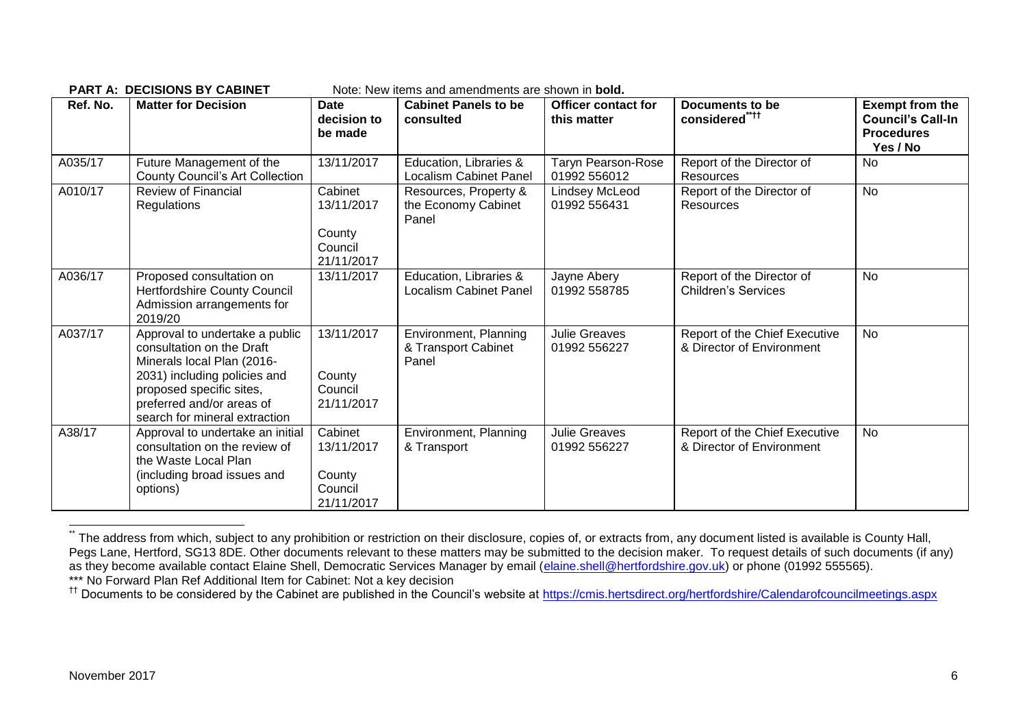| Ref. No. | <b>Matter for Decision</b>                                                                                                                                                                                          | <b>Date</b><br>decision to<br>be made                    | <b>Cabinet Panels to be</b><br>consulted                | <b>Officer contact for</b><br>this matter | <b>Documents to be</b><br>considered****                   | <b>Exempt from the</b><br><b>Council's Call-In</b><br><b>Procedures</b><br>Yes / No |
|----------|---------------------------------------------------------------------------------------------------------------------------------------------------------------------------------------------------------------------|----------------------------------------------------------|---------------------------------------------------------|-------------------------------------------|------------------------------------------------------------|-------------------------------------------------------------------------------------|
| A035/17  | Future Management of the<br><b>County Council's Art Collection</b>                                                                                                                                                  | 13/11/2017                                               | Education, Libraries &<br><b>Localism Cabinet Panel</b> | <b>Taryn Pearson-Rose</b><br>01992 556012 | Report of the Director of<br><b>Resources</b>              | <b>No</b>                                                                           |
| A010/17  | <b>Review of Financial</b><br><b>Regulations</b>                                                                                                                                                                    | Cabinet<br>13/11/2017<br>County<br>Council<br>21/11/2017 | Resources, Property &<br>the Economy Cabinet<br>Panel   | Lindsey McLeod<br>01992 556431            | Report of the Director of<br>Resources                     | <b>No</b>                                                                           |
| A036/17  | Proposed consultation on<br>Hertfordshire County Council<br>Admission arrangements for<br>2019/20                                                                                                                   | 13/11/2017                                               | Education, Libraries &<br><b>Localism Cabinet Panel</b> | Jayne Abery<br>01992 558785               | Report of the Director of<br><b>Children's Services</b>    | No                                                                                  |
| A037/17  | Approval to undertake a public<br>consultation on the Draft<br>Minerals local Plan (2016-<br>2031) including policies and<br>proposed specific sites,<br>preferred and/or areas of<br>search for mineral extraction | 13/11/2017<br>County<br>Council<br>21/11/2017            | Environment, Planning<br>& Transport Cabinet<br>Panel   | <b>Julie Greaves</b><br>01992 556227      | Report of the Chief Executive<br>& Director of Environment | No                                                                                  |
| A38/17   | Approval to undertake an initial<br>consultation on the review of<br>the Waste Local Plan<br>(including broad issues and<br>options)                                                                                | Cabinet<br>13/11/2017<br>County<br>Council<br>21/11/2017 | Environment, Planning<br>& Transport                    | <b>Julie Greaves</b><br>01992 556227      | Report of the Chief Executive<br>& Director of Environment | No                                                                                  |

**PART A: DECISIONS BY CABINET** Note: New items and amendments are shown in **bold.**

1

<sup>.&</sup>lt;br>The address from which, subject to any prohibition or restriction on their disclosure, copies of, or extracts from, any document listed is available is County Hall, Pegs Lane, Hertford, SG13 8DE. Other documents relevant to these matters may be submitted to the decision maker. To request details of such documents (if any) as they become available contact Elaine Shell, Democratic Services Manager by email [\(elaine.shell@hertfordshire.gov.uk\)](mailto:elaine.shell@hertfordshire.gov.uk) or phone (01992 555565). \*\*\* No Forward Plan Ref Additional Item for Cabinet: Not a key decision

<sup>&</sup>lt;sup>††</sup> Documents to be considered by the Cabinet are published in the Council's website at<https://cmis.hertsdirect.org/hertfordshire/Calendarofcouncilmeetings.aspx>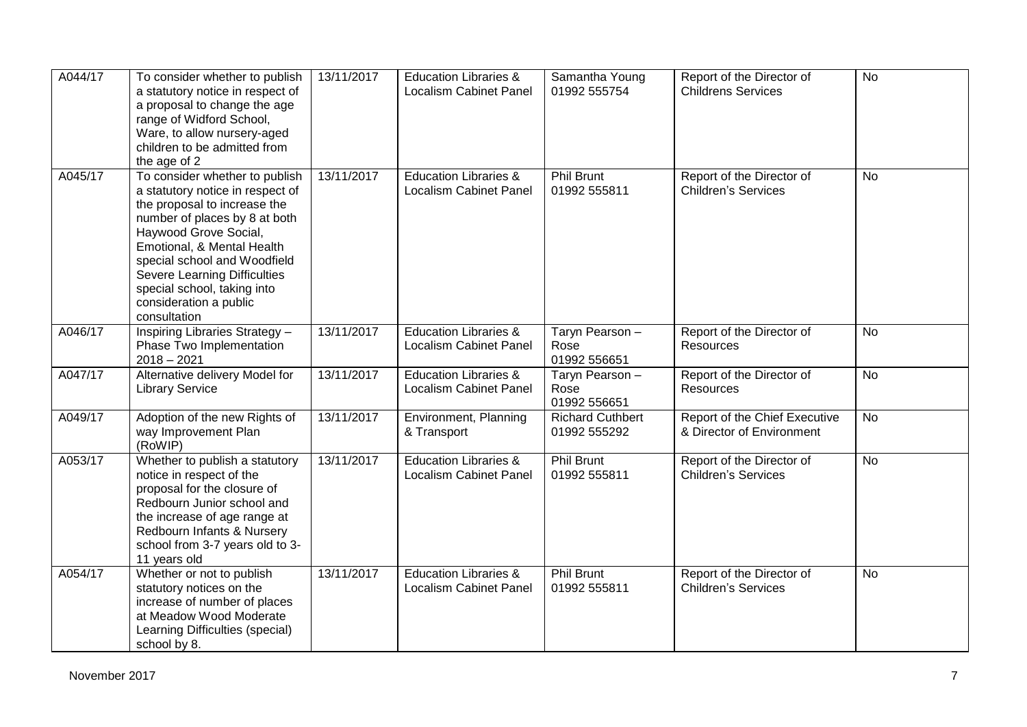| A044/17 | To consider whether to publish<br>a statutory notice in respect of<br>a proposal to change the age<br>range of Widford School,<br>Ware, to allow nursery-aged<br>children to be admitted from<br>the age of 2                                                                                                                       | 13/11/2017 | <b>Education Libraries &amp;</b><br><b>Localism Cabinet Panel</b> | Samantha Young<br>01992 555754          | Report of the Director of<br><b>Childrens Services</b>     | <b>No</b> |
|---------|-------------------------------------------------------------------------------------------------------------------------------------------------------------------------------------------------------------------------------------------------------------------------------------------------------------------------------------|------------|-------------------------------------------------------------------|-----------------------------------------|------------------------------------------------------------|-----------|
| A045/17 | To consider whether to publish<br>a statutory notice in respect of<br>the proposal to increase the<br>number of places by 8 at both<br>Haywood Grove Social,<br>Emotional, & Mental Health<br>special school and Woodfield<br>Severe Learning Difficulties<br>special school, taking into<br>consideration a public<br>consultation | 13/11/2017 | <b>Education Libraries &amp;</b><br>Localism Cabinet Panel        | <b>Phil Brunt</b><br>01992 555811       | Report of the Director of<br><b>Children's Services</b>    | No        |
| A046/17 | Inspiring Libraries Strategy -<br>Phase Two Implementation<br>$2018 - 2021$                                                                                                                                                                                                                                                         | 13/11/2017 | <b>Education Libraries &amp;</b><br><b>Localism Cabinet Panel</b> | Taryn Pearson -<br>Rose<br>01992 556651 | Report of the Director of<br><b>Resources</b>              | No        |
| A047/17 | Alternative delivery Model for<br><b>Library Service</b>                                                                                                                                                                                                                                                                            | 13/11/2017 | <b>Education Libraries &amp;</b><br><b>Localism Cabinet Panel</b> | Taryn Pearson -<br>Rose<br>01992 556651 | Report of the Director of<br>Resources                     | No        |
| A049/17 | Adoption of the new Rights of<br>way Improvement Plan<br>(RoWIP)                                                                                                                                                                                                                                                                    | 13/11/2017 | Environment, Planning<br>& Transport                              | <b>Richard Cuthbert</b><br>01992 555292 | Report of the Chief Executive<br>& Director of Environment | <b>No</b> |
| A053/17 | Whether to publish a statutory<br>notice in respect of the<br>proposal for the closure of<br>Redbourn Junior school and<br>the increase of age range at<br>Redbourn Infants & Nursery<br>school from 3-7 years old to 3-<br>11 years old                                                                                            | 13/11/2017 | <b>Education Libraries &amp;</b><br><b>Localism Cabinet Panel</b> | <b>Phil Brunt</b><br>01992 555811       | Report of the Director of<br><b>Children's Services</b>    | No        |
| A054/17 | Whether or not to publish<br>statutory notices on the<br>increase of number of places<br>at Meadow Wood Moderate<br>Learning Difficulties (special)<br>school by 8.                                                                                                                                                                 | 13/11/2017 | <b>Education Libraries &amp;</b><br><b>Localism Cabinet Panel</b> | Phil Brunt<br>01992 555811              | Report of the Director of<br><b>Children's Services</b>    | <b>No</b> |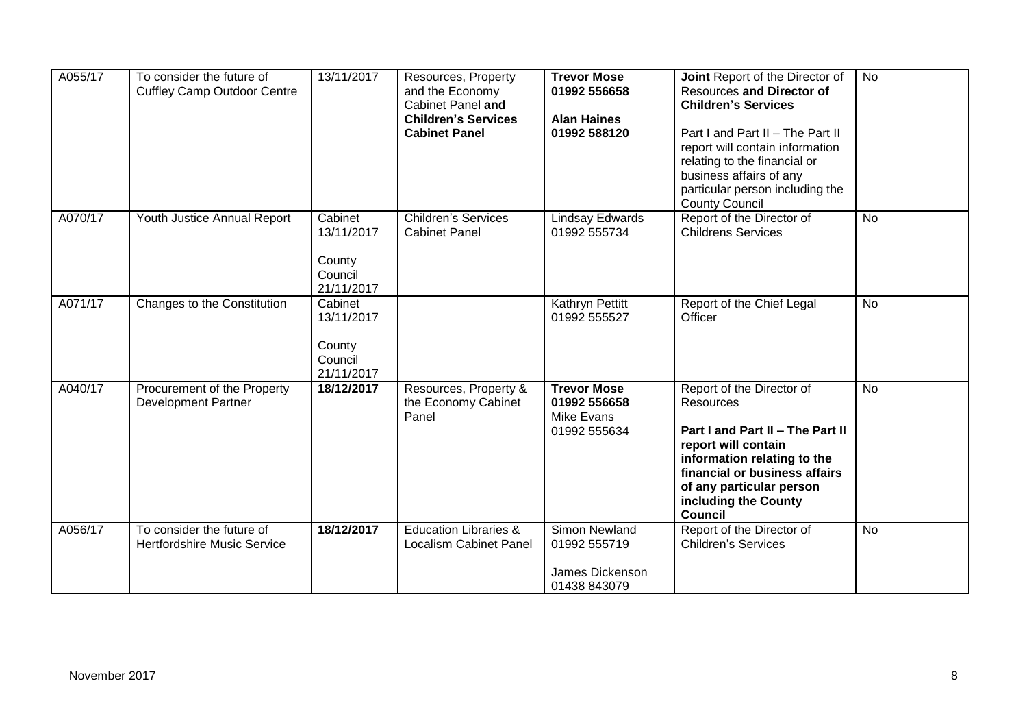| A055/17 | To consider the future of<br><b>Cuffley Camp Outdoor Centre</b> | 13/11/2017                                               | Resources, Property<br>and the Economy<br>Cabinet Panel and<br><b>Children's Services</b><br><b>Cabinet Panel</b> | <b>Trevor Mose</b><br>01992 556658<br><b>Alan Haines</b><br>01992 588120 | Joint Report of the Director of<br><b>Resources and Director of</b><br><b>Children's Services</b><br>Part I and Part II - The Part II<br>report will contain information<br>relating to the financial or<br>business affairs of any<br>particular person including the<br><b>County Council</b> | <b>No</b> |
|---------|-----------------------------------------------------------------|----------------------------------------------------------|-------------------------------------------------------------------------------------------------------------------|--------------------------------------------------------------------------|-------------------------------------------------------------------------------------------------------------------------------------------------------------------------------------------------------------------------------------------------------------------------------------------------|-----------|
| A070/17 | Youth Justice Annual Report                                     | Cabinet<br>13/11/2017<br>County<br>Council<br>21/11/2017 | <b>Children's Services</b><br><b>Cabinet Panel</b>                                                                | <b>Lindsay Edwards</b><br>01992 555734                                   | Report of the Director of<br><b>Childrens Services</b>                                                                                                                                                                                                                                          | <b>No</b> |
| A071/17 | Changes to the Constitution                                     | Cabinet<br>13/11/2017<br>County<br>Council<br>21/11/2017 |                                                                                                                   | Kathryn Pettitt<br>01992 555527                                          | Report of the Chief Legal<br>Officer                                                                                                                                                                                                                                                            | <b>No</b> |
| A040/17 | Procurement of the Property<br><b>Development Partner</b>       | 18/12/2017                                               | Resources, Property &<br>the Economy Cabinet<br>Panel                                                             | <b>Trevor Mose</b><br>01992 556658<br><b>Mike Evans</b><br>01992 555634  | Report of the Director of<br><b>Resources</b><br>Part I and Part II - The Part II<br>report will contain<br>information relating to the<br>financial or business affairs<br>of any particular person<br>including the County<br><b>Council</b>                                                  | <b>No</b> |
| A056/17 | To consider the future of<br><b>Hertfordshire Music Service</b> | 18/12/2017                                               | <b>Education Libraries &amp;</b><br><b>Localism Cabinet Panel</b>                                                 | <b>Simon Newland</b><br>01992 555719<br>James Dickenson<br>01438 843079  | Report of the Director of<br><b>Children's Services</b>                                                                                                                                                                                                                                         | <b>No</b> |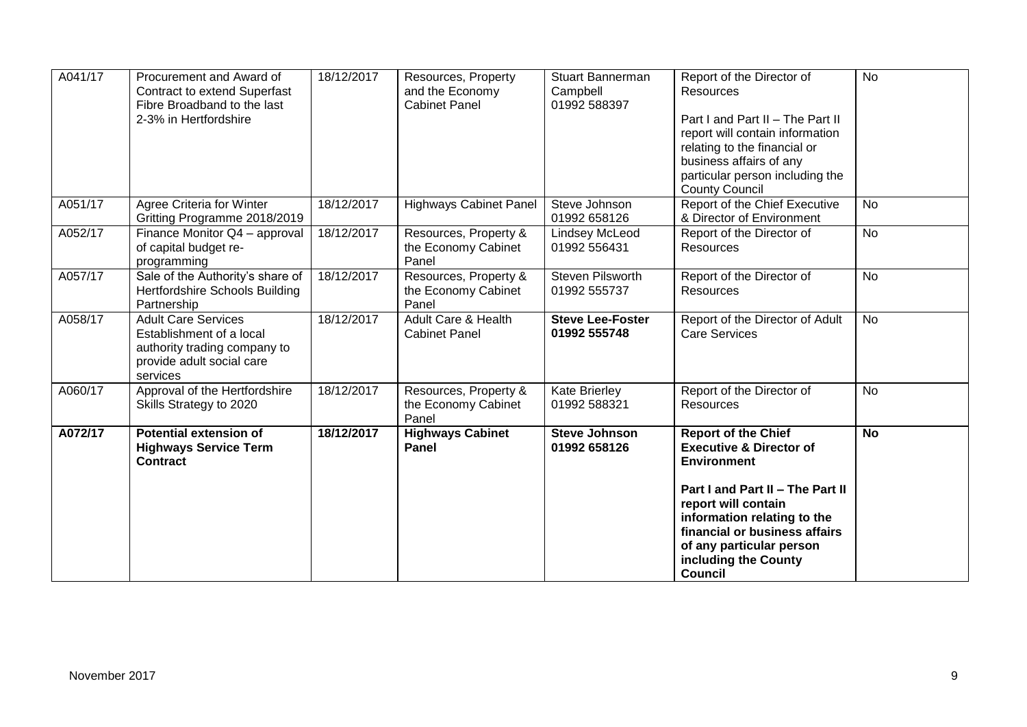|         |                                                                                                                                 |            |                                                                |                                                     | Part I and Part II - The Part II<br>report will contain<br>information relating to the<br>financial or business affairs<br>of any particular person<br>including the County<br><b>Council</b>                                        |           |
|---------|---------------------------------------------------------------------------------------------------------------------------------|------------|----------------------------------------------------------------|-----------------------------------------------------|--------------------------------------------------------------------------------------------------------------------------------------------------------------------------------------------------------------------------------------|-----------|
| A072/17 | <b>Potential extension of</b><br><b>Highways Service Term</b><br><b>Contract</b>                                                | 18/12/2017 | <b>Highways Cabinet</b><br><b>Panel</b>                        | <b>Steve Johnson</b><br>01992 658126                | <b>Report of the Chief</b><br><b>Executive &amp; Director of</b><br><b>Environment</b>                                                                                                                                               | <b>No</b> |
| A060/17 | Approval of the Hertfordshire<br>Skills Strategy to 2020                                                                        | 18/12/2017 | Resources, Property &<br>the Economy Cabinet<br>Panel          | <b>Kate Brierley</b><br>01992 588321                | Report of the Director of<br>Resources                                                                                                                                                                                               | <b>No</b> |
| A058/17 | <b>Adult Care Services</b><br>Establishment of a local<br>authority trading company to<br>provide adult social care<br>services | 18/12/2017 | <b>Adult Care &amp; Health</b><br><b>Cabinet Panel</b>         | <b>Steve Lee-Foster</b><br>01992 555748             | Report of the Director of Adult<br><b>Care Services</b>                                                                                                                                                                              | <b>No</b> |
| A057/17 | Sale of the Authority's share of<br><b>Hertfordshire Schools Building</b><br>Partnership                                        | 18/12/2017 | Resources, Property &<br>the Economy Cabinet<br>Panel          | Steven Pilsworth<br>01992 555737                    | Report of the Director of<br>Resources                                                                                                                                                                                               | <b>No</b> |
| A052/17 | Finance Monitor Q4 - approval<br>of capital budget re-<br>programming                                                           | 18/12/2017 | Resources, Property &<br>the Economy Cabinet<br>Panel          | <b>Lindsey McLeod</b><br>01992 556431               | Report of the Director of<br>Resources                                                                                                                                                                                               | <b>No</b> |
| A051/17 | Agree Criteria for Winter<br>Gritting Programme 2018/2019                                                                       | 18/12/2017 | <b>Highways Cabinet Panel</b>                                  | Steve Johnson<br>01992 658126                       | Report of the Chief Executive<br>& Director of Environment                                                                                                                                                                           | <b>No</b> |
| A041/17 | Procurement and Award of<br><b>Contract to extend Superfast</b><br>Fibre Broadband to the last<br>2-3% in Hertfordshire         | 18/12/2017 | Resources, Property<br>and the Economy<br><b>Cabinet Panel</b> | <b>Stuart Bannerman</b><br>Campbell<br>01992 588397 | Report of the Director of<br>Resources<br>Part I and Part II - The Part II<br>report will contain information<br>relating to the financial or<br>business affairs of any<br>particular person including the<br><b>County Council</b> | <b>No</b> |
|         |                                                                                                                                 |            |                                                                |                                                     |                                                                                                                                                                                                                                      |           |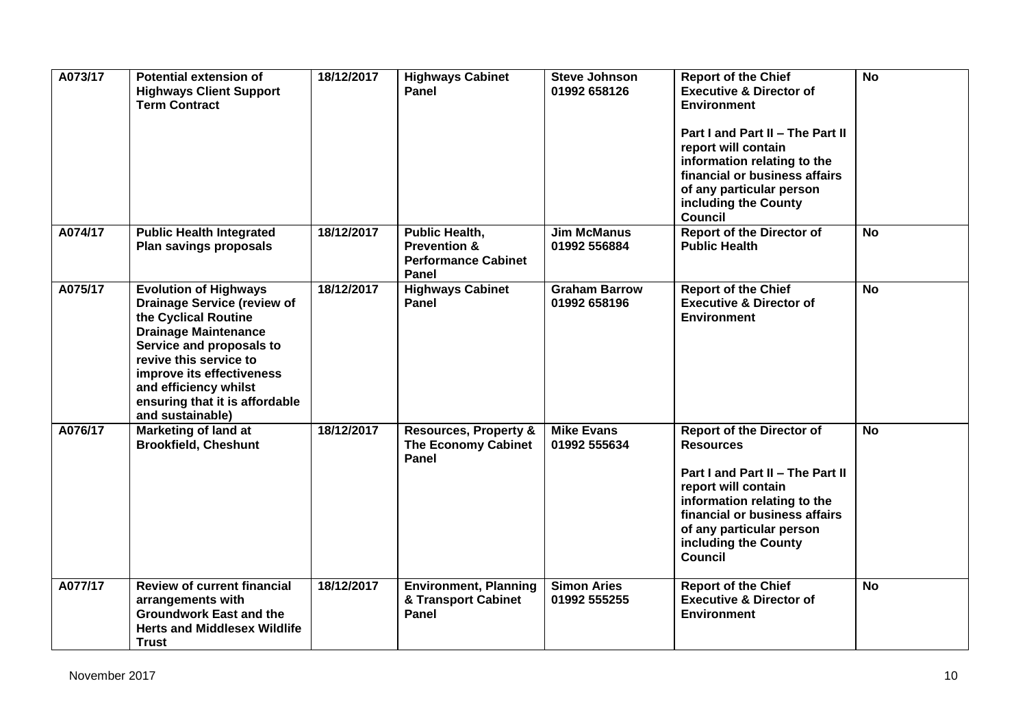| A073/17 | <b>Potential extension of</b><br><b>Highways Client Support</b><br><b>Term Contract</b>                                                                                                                                                                                                     | 18/12/2017 | <b>Highways Cabinet</b><br>Panel                                                        | <b>Steve Johnson</b><br>01992 658126 | <b>Report of the Chief</b><br><b>Executive &amp; Director of</b><br><b>Environment</b><br>Part I and Part II - The Part II<br>report will contain<br>information relating to the<br>financial or business affairs<br>of any particular person<br>including the County<br><b>Council</b> | <b>No</b> |
|---------|---------------------------------------------------------------------------------------------------------------------------------------------------------------------------------------------------------------------------------------------------------------------------------------------|------------|-----------------------------------------------------------------------------------------|--------------------------------------|-----------------------------------------------------------------------------------------------------------------------------------------------------------------------------------------------------------------------------------------------------------------------------------------|-----------|
| A074/17 | <b>Public Health Integrated</b><br>Plan savings proposals                                                                                                                                                                                                                                   | 18/12/2017 | <b>Public Health,</b><br><b>Prevention &amp;</b><br><b>Performance Cabinet</b><br>Panel | <b>Jim McManus</b><br>01992 556884   | <b>Report of the Director of</b><br><b>Public Health</b>                                                                                                                                                                                                                                | <b>No</b> |
| A075/17 | <b>Evolution of Highways</b><br><b>Drainage Service (review of</b><br>the Cyclical Routine<br><b>Drainage Maintenance</b><br>Service and proposals to<br>revive this service to<br>improve its effectiveness<br>and efficiency whilst<br>ensuring that it is affordable<br>and sustainable) | 18/12/2017 | <b>Highways Cabinet</b><br>Panel                                                        | <b>Graham Barrow</b><br>01992 658196 | <b>Report of the Chief</b><br><b>Executive &amp; Director of</b><br><b>Environment</b>                                                                                                                                                                                                  | <b>No</b> |
| A076/17 | <b>Marketing of land at</b><br><b>Brookfield, Cheshunt</b>                                                                                                                                                                                                                                  | 18/12/2017 | <b>Resources, Property &amp;</b><br><b>The Economy Cabinet</b><br>Panel                 | <b>Mike Evans</b><br>01992 555634    | <b>Report of the Director of</b><br><b>Resources</b><br>Part I and Part II - The Part II<br>report will contain<br>information relating to the<br>financial or business affairs<br>of any particular person<br>including the County<br><b>Council</b>                                   | <b>No</b> |
| A077/17 | <b>Review of current financial</b><br>arrangements with<br><b>Groundwork East and the</b><br><b>Herts and Middlesex Wildlife</b><br><b>Trust</b>                                                                                                                                            | 18/12/2017 | <b>Environment, Planning</b><br>& Transport Cabinet<br>Panel                            | <b>Simon Aries</b><br>01992 555255   | <b>Report of the Chief</b><br><b>Executive &amp; Director of</b><br><b>Environment</b>                                                                                                                                                                                                  | <b>No</b> |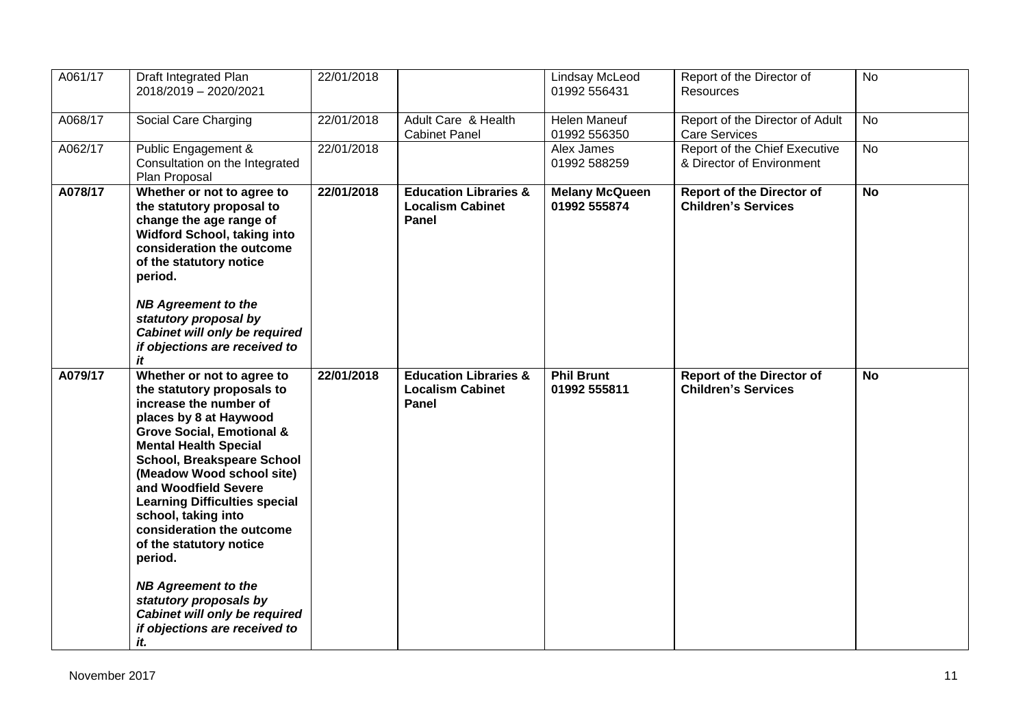| A061/17 | Draft Integrated Plan<br>2018/2019 - 2020/2021                                                                                                                                                                                                                                                                                                                                                                                                                                                                                                    | 22/01/2018 |                                                                      | Lindsay McLeod<br>01992 556431        | Report of the Director of<br><b>Resources</b>                  | <b>No</b> |
|---------|---------------------------------------------------------------------------------------------------------------------------------------------------------------------------------------------------------------------------------------------------------------------------------------------------------------------------------------------------------------------------------------------------------------------------------------------------------------------------------------------------------------------------------------------------|------------|----------------------------------------------------------------------|---------------------------------------|----------------------------------------------------------------|-----------|
| A068/17 | Social Care Charging                                                                                                                                                                                                                                                                                                                                                                                                                                                                                                                              | 22/01/2018 | Adult Care & Health<br><b>Cabinet Panel</b>                          | <b>Helen Maneuf</b><br>01992 556350   | Report of the Director of Adult<br><b>Care Services</b>        | <b>No</b> |
| A062/17 | Public Engagement &<br>Consultation on the Integrated<br>Plan Proposal                                                                                                                                                                                                                                                                                                                                                                                                                                                                            | 22/01/2018 |                                                                      | Alex James<br>01992 588259            | Report of the Chief Executive<br>& Director of Environment     | <b>No</b> |
| A078/17 | Whether or not to agree to<br>the statutory proposal to<br>change the age range of<br>Widford School, taking into<br>consideration the outcome<br>of the statutory notice<br>period.<br><b>NB Agreement to the</b><br>statutory proposal by<br>Cabinet will only be required<br>if objections are received to<br>it                                                                                                                                                                                                                               | 22/01/2018 | <b>Education Libraries &amp;</b><br><b>Localism Cabinet</b><br>Panel | <b>Melany McQueen</b><br>01992 555874 | <b>Report of the Director of</b><br><b>Children's Services</b> | <b>No</b> |
| A079/17 | Whether or not to agree to<br>the statutory proposals to<br>increase the number of<br>places by 8 at Haywood<br><b>Grove Social, Emotional &amp;</b><br><b>Mental Health Special</b><br><b>School, Breakspeare School</b><br>(Meadow Wood school site)<br>and Woodfield Severe<br><b>Learning Difficulties special</b><br>school, taking into<br>consideration the outcome<br>of the statutory notice<br>period.<br><b>NB Agreement to the</b><br>statutory proposals by<br>Cabinet will only be required<br>if objections are received to<br>it. | 22/01/2018 | <b>Education Libraries &amp;</b><br><b>Localism Cabinet</b><br>Panel | <b>Phil Brunt</b><br>01992 555811     | <b>Report of the Director of</b><br><b>Children's Services</b> | <b>No</b> |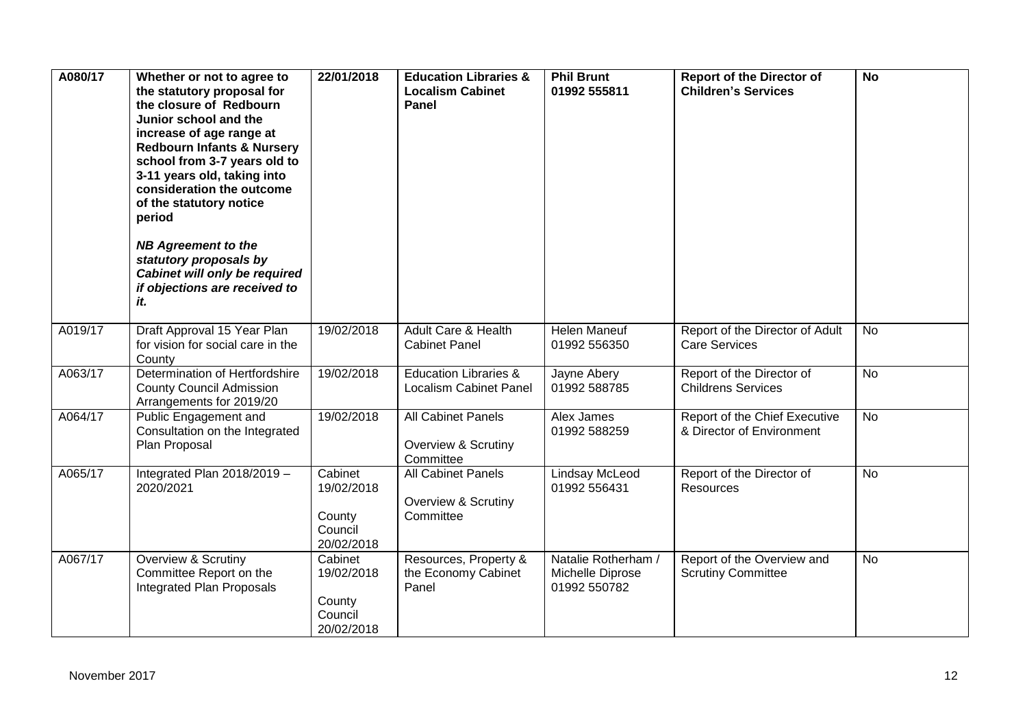| A080/17 | Whether or not to agree to<br>the statutory proposal for<br>the closure of Redbourn<br>Junior school and the<br>increase of age range at<br><b>Redbourn Infants &amp; Nursery</b><br>school from 3-7 years old to<br>3-11 years old, taking into<br>consideration the outcome<br>of the statutory notice<br>period | 22/01/2018                                               | <b>Education Libraries &amp;</b><br><b>Localism Cabinet</b><br>Panel | <b>Phil Brunt</b><br>01992 555811                       | <b>Report of the Director of</b><br><b>Children's Services</b> | <b>No</b> |
|---------|--------------------------------------------------------------------------------------------------------------------------------------------------------------------------------------------------------------------------------------------------------------------------------------------------------------------|----------------------------------------------------------|----------------------------------------------------------------------|---------------------------------------------------------|----------------------------------------------------------------|-----------|
|         | <b>NB Agreement to the</b><br>statutory proposals by<br>Cabinet will only be required<br>if objections are received to<br>it.                                                                                                                                                                                      |                                                          |                                                                      |                                                         |                                                                |           |
| A019/17 | Draft Approval 15 Year Plan<br>for vision for social care in the<br>County                                                                                                                                                                                                                                         | 19/02/2018                                               | <b>Adult Care &amp; Health</b><br><b>Cabinet Panel</b>               | <b>Helen Maneuf</b><br>01992 556350                     | Report of the Director of Adult<br><b>Care Services</b>        | <b>No</b> |
| A063/17 | Determination of Hertfordshire<br><b>County Council Admission</b><br>Arrangements for 2019/20                                                                                                                                                                                                                      | 19/02/2018                                               | <b>Education Libraries &amp;</b><br><b>Localism Cabinet Panel</b>    | Jayne Abery<br>01992 588785                             | Report of the Director of<br><b>Childrens Services</b>         | <b>No</b> |
| A064/17 | Public Engagement and<br>Consultation on the Integrated<br>Plan Proposal                                                                                                                                                                                                                                           | 19/02/2018                                               | <b>All Cabinet Panels</b><br>Overview & Scrutiny<br>Committee        | Alex James<br>01992 588259                              | Report of the Chief Executive<br>& Director of Environment     | <b>No</b> |
| A065/17 | Integrated Plan 2018/2019 -<br>2020/2021                                                                                                                                                                                                                                                                           | Cabinet<br>19/02/2018<br>County<br>Council<br>20/02/2018 | All Cabinet Panels<br>Overview & Scrutiny<br>Committee               | Lindsay McLeod<br>01992 556431                          | Report of the Director of<br>Resources                         | <b>No</b> |
| A067/17 | Overview & Scrutiny<br>Committee Report on the<br>Integrated Plan Proposals                                                                                                                                                                                                                                        | Cabinet<br>19/02/2018<br>County<br>Council<br>20/02/2018 | Resources, Property &<br>the Economy Cabinet<br>Panel                | Natalie Rotherham /<br>Michelle Diprose<br>01992 550782 | Report of the Overview and<br><b>Scrutiny Committee</b>        | <b>No</b> |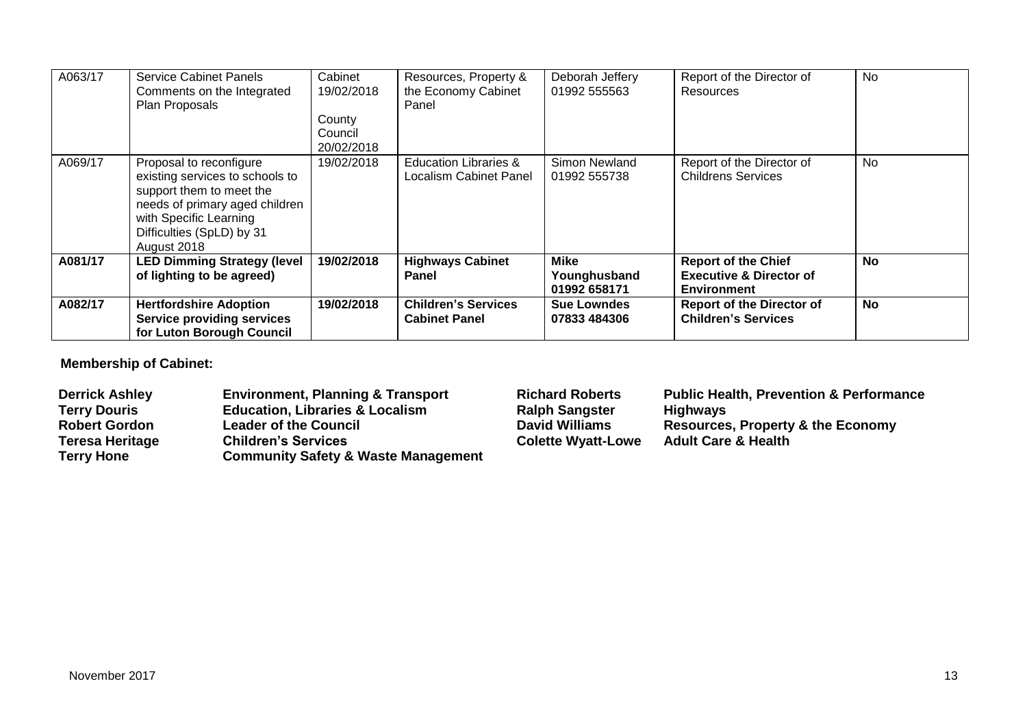| A063/17 | <b>Service Cabinet Panels</b><br>Comments on the Integrated<br>Plan Proposals                                                                                                                  | Cabinet<br>19/02/2018<br>County<br>Council<br>20/02/2018 | Resources, Property &<br>the Economy Cabinet<br>Panel      | Deborah Jeffery<br>01992 555563             | Report of the Director of<br><b>Resources</b>                                          | <b>No</b> |
|---------|------------------------------------------------------------------------------------------------------------------------------------------------------------------------------------------------|----------------------------------------------------------|------------------------------------------------------------|---------------------------------------------|----------------------------------------------------------------------------------------|-----------|
| A069/17 | Proposal to reconfigure<br>existing services to schools to<br>support them to meet the<br>needs of primary aged children<br>with Specific Learning<br>Difficulties (SpLD) by 31<br>August 2018 | 19/02/2018                                               | <b>Education Libraries &amp;</b><br>Localism Cabinet Panel | Simon Newland<br>01992 555738               | Report of the Director of<br><b>Childrens Services</b>                                 | <b>No</b> |
| A081/17 | <b>LED Dimming Strategy (level</b><br>of lighting to be agreed)                                                                                                                                | 19/02/2018                                               | <b>Highways Cabinet</b><br><b>Panel</b>                    | <b>Mike</b><br>Younghusband<br>01992 658171 | <b>Report of the Chief</b><br><b>Executive &amp; Director of</b><br><b>Environment</b> | No        |
| A082/17 | <b>Hertfordshire Adoption</b><br><b>Service providing services</b><br>for Luton Borough Council                                                                                                | 19/02/2018                                               | <b>Children's Services</b><br><b>Cabinet Panel</b>         | <b>Sue Lowndes</b><br>07833 484306          | <b>Report of the Director of</b><br><b>Children's Services</b>                         | <b>No</b> |

**Membership of Cabinet:** 

| <b>Derrick Ashley</b> | <b>Environment, Planning &amp; Transport</b>   | <b>Richard Roberts</b>    | <b>Public Health, Prevention &amp; Performance</b> |
|-----------------------|------------------------------------------------|---------------------------|----------------------------------------------------|
| <b>Terry Douris</b>   | <b>Education, Libraries &amp; Localism</b>     | <b>Ralph Sangster</b>     | <b>Highways</b>                                    |
| <b>Robert Gordon</b>  | <b>Leader of the Council</b>                   | <b>David Williams</b>     | Resources, Property & the Economy                  |
| Teresa Heritage       | <b>Children's Services</b>                     | <b>Colette Wyatt-Lowe</b> | <b>Adult Care &amp; Health</b>                     |
| <b>Terry Hone</b>     | <b>Community Safety &amp; Waste Management</b> |                           |                                                    |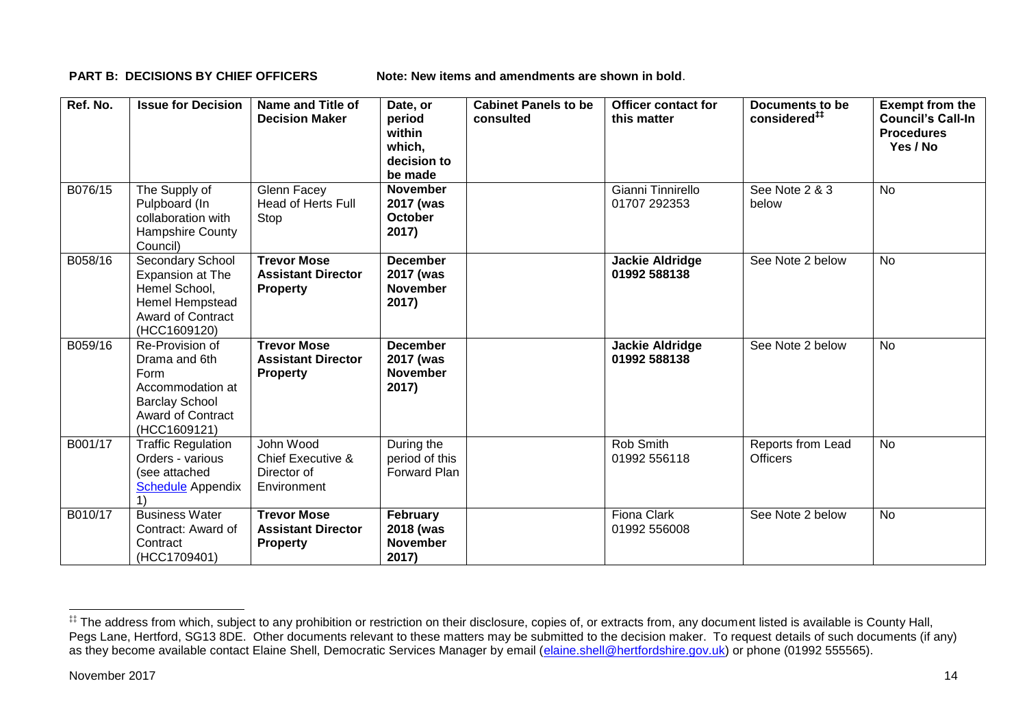**PART B: DECISIONS BY CHIEF OFFICERS Note: New items and amendments are shown in bold.** 

| Ref. No. | <b>Issue for Decision</b>                                                                                                         | Name and Title of<br><b>Decision Maker</b>                         | Date, or<br>period<br>within<br>which,<br>decision to<br>be made | <b>Cabinet Panels to be</b><br>consulted | Officer contact for<br>this matter     | Documents to be<br>considered <sup>##</sup> | <b>Exempt from the</b><br><b>Council's Call-In</b><br><b>Procedures</b><br>Yes / No |
|----------|-----------------------------------------------------------------------------------------------------------------------------------|--------------------------------------------------------------------|------------------------------------------------------------------|------------------------------------------|----------------------------------------|---------------------------------------------|-------------------------------------------------------------------------------------|
| B076/15  | The Supply of<br>Pulpboard (In<br>collaboration with<br><b>Hampshire County</b><br>Council)                                       | Glenn Facey<br><b>Head of Herts Full</b><br>Stop                   | <b>November</b><br>2017 (was<br><b>October</b><br>2017)          |                                          | Gianni Tinnirello<br>01707 292353      | See Note 2 & 3<br>below                     | <b>No</b>                                                                           |
| B058/16  | <b>Secondary School</b><br>Expansion at The<br>Hemel School,<br>Hemel Hempstead<br><b>Award of Contract</b><br>(HCC1609120)       | <b>Trevor Mose</b><br><b>Assistant Director</b><br><b>Property</b> | <b>December</b><br>2017 (was<br><b>November</b><br>2017)         |                                          | <b>Jackie Aldridge</b><br>01992 588138 | See Note 2 below                            | <b>No</b>                                                                           |
| B059/16  | Re-Provision of<br>Drama and 6th<br>Form<br>Accommodation at<br><b>Barclay School</b><br><b>Award of Contract</b><br>(HCC1609121) | <b>Trevor Mose</b><br><b>Assistant Director</b><br><b>Property</b> | <b>December</b><br>2017 (was<br><b>November</b><br>2017)         |                                          | <b>Jackie Aldridge</b><br>01992 588138 | See Note 2 below                            | <b>No</b>                                                                           |
| B001/17  | <b>Traffic Regulation</b><br>Orders - various<br>(see attached<br><b>Schedule Appendix</b>                                        | John Wood<br>Chief Executive &<br>Director of<br>Environment       | During the<br>period of this<br>Forward Plan                     |                                          | Rob Smith<br>01992 556118              | Reports from Lead<br><b>Officers</b>        | No                                                                                  |
| B010/17  | <b>Business Water</b><br>Contract: Award of<br>Contract<br>(HCC1709401)                                                           | <b>Trevor Mose</b><br><b>Assistant Director</b><br><b>Property</b> | February<br>2018 (was<br><b>November</b><br>2017)                |                                          | <b>Fiona Clark</b><br>01992 556008     | See Note 2 below                            | No                                                                                  |

1

<sup>‡‡</sup> The address from which, subject to any prohibition or restriction on their disclosure, copies of, or extracts from, any document listed is available is County Hall, Pegs Lane, Hertford, SG13 8DE. Other documents relevant to these matters may be submitted to the decision maker. To request details of such documents (if any) as they become available contact Elaine Shell, Democratic Services Manager by email [\(elaine.shell@hertfordshire.gov.uk\)](mailto:elaine.shell@hertfordshire.gov.uk) or phone (01992 55565).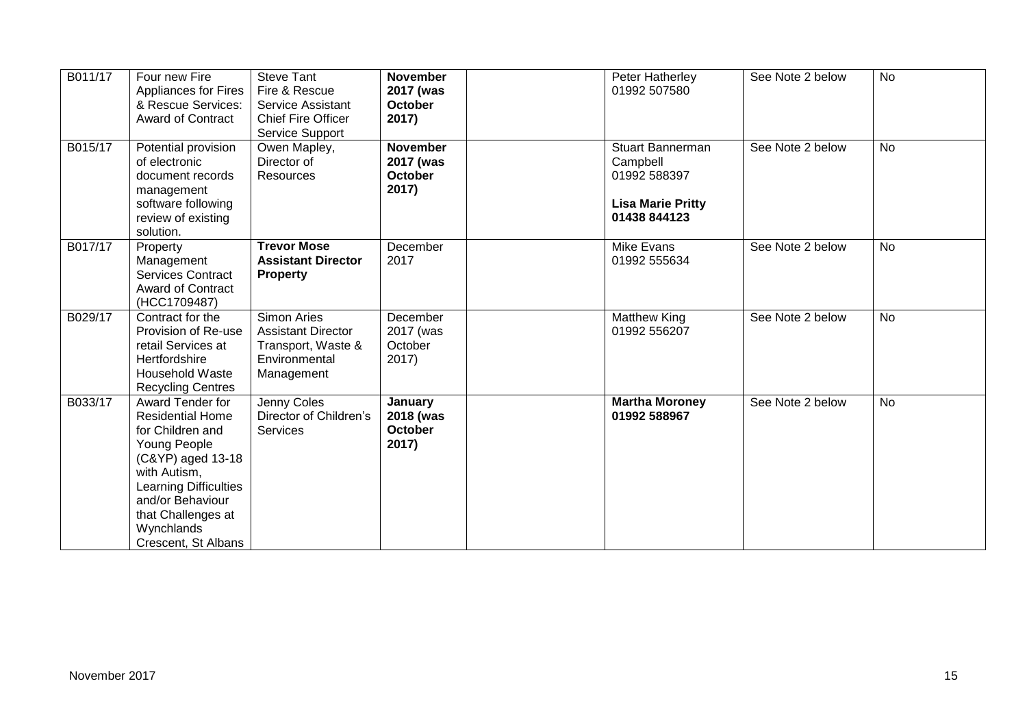| B011/17 | Four new Fire<br><b>Appliances for Fires</b><br>& Rescue Services:<br><b>Award of Contract</b>                                                                                                                                      | <b>Steve Tant</b><br>Fire & Rescue<br>Service Assistant<br><b>Chief Fire Officer</b><br>Service Support | <b>November</b><br>2017 (was<br>October<br>2017) | Peter Hatherley<br>01992 507580                                                                 | See Note 2 below | <b>No</b> |
|---------|-------------------------------------------------------------------------------------------------------------------------------------------------------------------------------------------------------------------------------------|---------------------------------------------------------------------------------------------------------|--------------------------------------------------|-------------------------------------------------------------------------------------------------|------------------|-----------|
| B015/17 | Potential provision<br>of electronic<br>document records<br>management<br>software following<br>review of existing<br>solution.                                                                                                     | Owen Mapley,<br>Director of<br><b>Resources</b>                                                         | <b>November</b><br>2017 (was<br>October<br>2017) | <b>Stuart Bannerman</b><br>Campbell<br>01992 588397<br><b>Lisa Marie Pritty</b><br>01438 844123 | See Note 2 below | <b>No</b> |
| B017/17 | Property<br>Management<br><b>Services Contract</b><br><b>Award of Contract</b><br>(HCC1709487)                                                                                                                                      | <b>Trevor Mose</b><br><b>Assistant Director</b><br><b>Property</b>                                      | December<br>2017                                 | Mike Evans<br>01992 555634                                                                      | See Note 2 below | <b>No</b> |
| B029/17 | Contract for the<br>Provision of Re-use<br>retail Services at<br>Hertfordshire<br><b>Household Waste</b><br><b>Recycling Centres</b>                                                                                                | Simon Aries<br><b>Assistant Director</b><br>Transport, Waste &<br>Environmental<br>Management           | December<br>2017 (was<br>October<br>2017)        | <b>Matthew King</b><br>01992 556207                                                             | See Note 2 below | <b>No</b> |
| B033/17 | Award Tender for<br><b>Residential Home</b><br>for Children and<br>Young People<br>(C&YP) aged 13-18<br>with Autism,<br><b>Learning Difficulties</b><br>and/or Behaviour<br>that Challenges at<br>Wynchlands<br>Crescent, St Albans | Jenny Coles<br>Director of Children's<br><b>Services</b>                                                | January<br>2018 (was<br>October<br>2017)         | <b>Martha Moroney</b><br>01992 588967                                                           | See Note 2 below | <b>No</b> |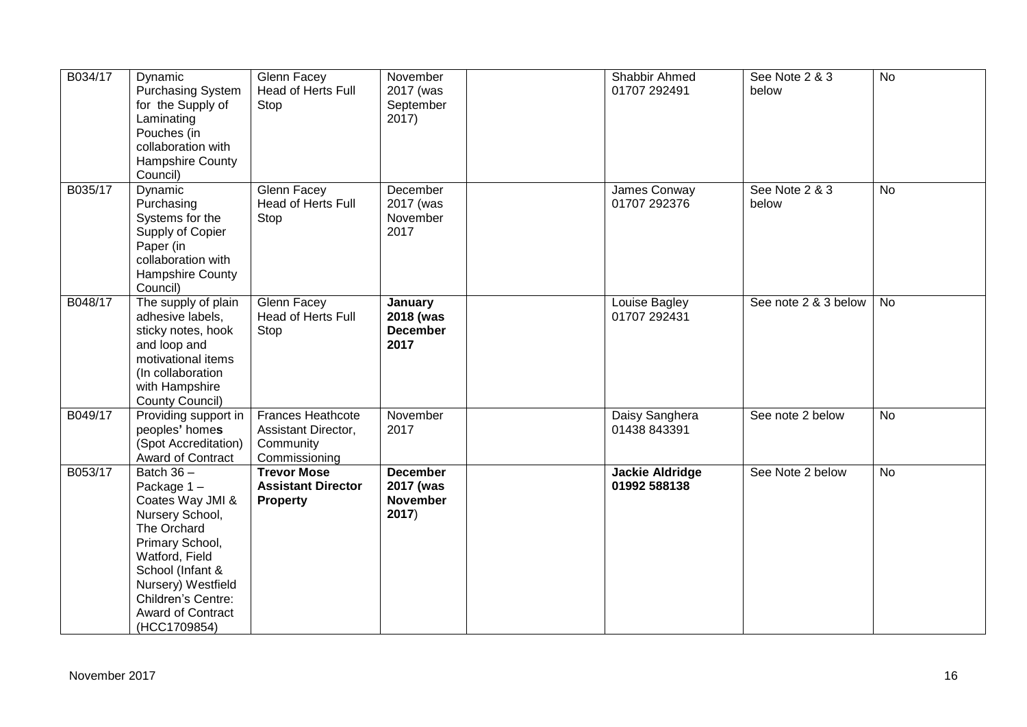| B034/17 | Dynamic<br><b>Purchasing System</b><br>for the Supply of<br>Laminating<br>Pouches (in<br>collaboration with<br>Hampshire County<br>Council)                                                                                          | Glenn Facey<br>Head of Herts Full<br>Stop                              | November<br>2017 (was<br>September<br>2017)              | Shabbir Ahmed<br>01707 292491          | See Note 2 & 3<br>below | <b>No</b> |
|---------|--------------------------------------------------------------------------------------------------------------------------------------------------------------------------------------------------------------------------------------|------------------------------------------------------------------------|----------------------------------------------------------|----------------------------------------|-------------------------|-----------|
| B035/17 | Dynamic<br>Purchasing<br>Systems for the<br>Supply of Copier<br>Paper (in<br>collaboration with<br>Hampshire County<br>Council)                                                                                                      | Glenn Facey<br>Head of Herts Full<br>Stop                              | December<br>2017 (was<br>November<br>2017                | James Conway<br>01707 292376           | See Note 2 & 3<br>below | <b>No</b> |
| B048/17 | The supply of plain<br>adhesive labels,<br>sticky notes, hook<br>and loop and<br>motivational items<br>(In collaboration<br>with Hampshire<br>County Council)                                                                        | Glenn Facey<br>Head of Herts Full<br>Stop                              | January<br>2018 (was<br><b>December</b><br>2017          | Louise Bagley<br>01707 292431          | See note 2 & 3 below    | No        |
| B049/17 | Providing support in<br>peoples' homes<br>(Spot Accreditation)<br>Award of Contract                                                                                                                                                  | Frances Heathcote<br>Assistant Director,<br>Community<br>Commissioning | November<br>2017                                         | Daisy Sanghera<br>01438 843391         | See note 2 below        | <b>No</b> |
| B053/17 | Batch $36 -$<br>Package $1 -$<br>Coates Way JMI &<br>Nursery School,<br>The Orchard<br>Primary School,<br>Watford, Field<br>School (Infant &<br>Nursery) Westfield<br>Children's Centre:<br><b>Award of Contract</b><br>(HCC1709854) | <b>Trevor Mose</b><br><b>Assistant Director</b><br><b>Property</b>     | <b>December</b><br>2017 (was<br><b>November</b><br>2017) | <b>Jackie Aldridge</b><br>01992 588138 | See Note 2 below        | <b>No</b> |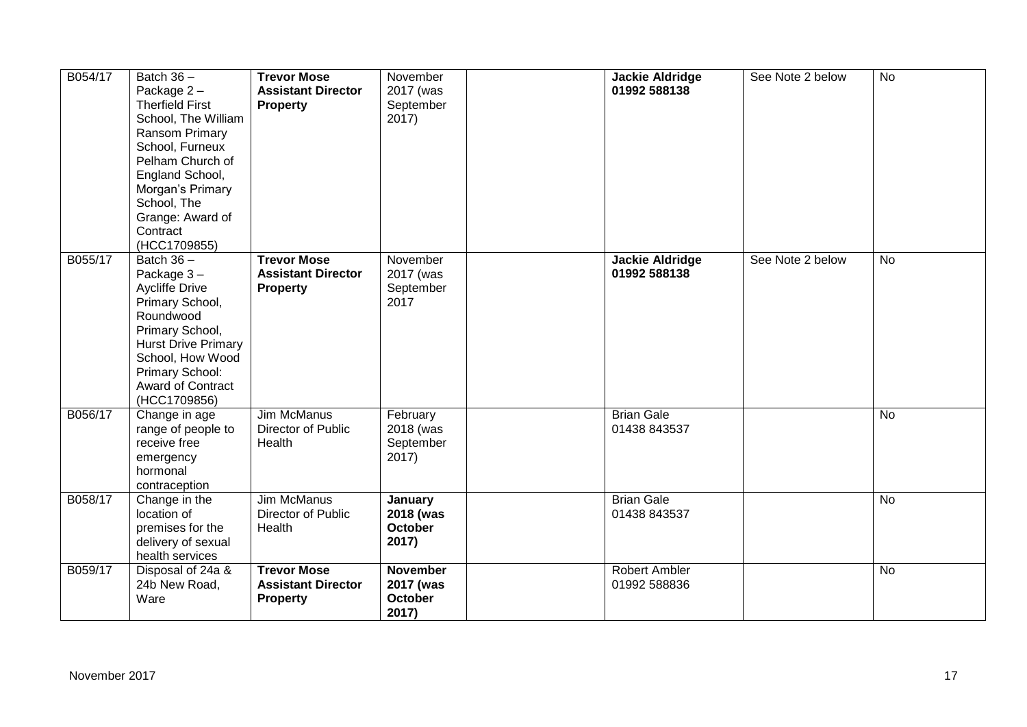| B054/17 | Batch $36 -$<br>Package $2 -$<br><b>Therfield First</b><br>School, The William<br>Ransom Primary<br>School, Furneux<br>Pelham Church of<br>England School,<br>Morgan's Primary<br>School, The<br>Grange: Award of<br>Contract<br>(HCC1709855) | <b>Trevor Mose</b><br><b>Assistant Director</b><br>Property        | November<br>2017 (was<br>September<br>2017)             | Jackie Aldridge<br>01992 588138        | See Note 2 below | <b>No</b>      |
|---------|-----------------------------------------------------------------------------------------------------------------------------------------------------------------------------------------------------------------------------------------------|--------------------------------------------------------------------|---------------------------------------------------------|----------------------------------------|------------------|----------------|
| B055/17 | Batch $36 -$<br>Package 3-<br><b>Aycliffe Drive</b><br>Primary School,<br>Roundwood<br>Primary School,<br><b>Hurst Drive Primary</b><br>School, How Wood<br>Primary School:<br>Award of Contract<br>(HCC1709856)                              | <b>Trevor Mose</b><br><b>Assistant Director</b><br><b>Property</b> | November<br>2017 (was<br>September<br>2017              | <b>Jackie Aldridge</b><br>01992 588138 | See Note 2 below | <b>No</b>      |
| B056/17 | Change in age<br>range of people to<br>receive free<br>emergency<br>hormonal<br>contraception                                                                                                                                                 | Jim McManus<br>Director of Public<br>Health                        | February<br>2018 (was<br>September<br>2017)             | <b>Brian Gale</b><br>01438 843537      |                  | $\overline{N}$ |
| B058/17 | Change in the<br>location of<br>premises for the<br>delivery of sexual<br>health services                                                                                                                                                     | Jim McManus<br>Director of Public<br>Health                        | January<br>2018 (was<br><b>October</b><br>2017)         | <b>Brian Gale</b><br>01438 843537      |                  | <b>No</b>      |
| B059/17 | Disposal of 24a &<br>24b New Road,<br>Ware                                                                                                                                                                                                    | <b>Trevor Mose</b><br><b>Assistant Director</b><br><b>Property</b> | <b>November</b><br>2017 (was<br><b>October</b><br>2017) | <b>Robert Ambler</b><br>01992 588836   |                  | No             |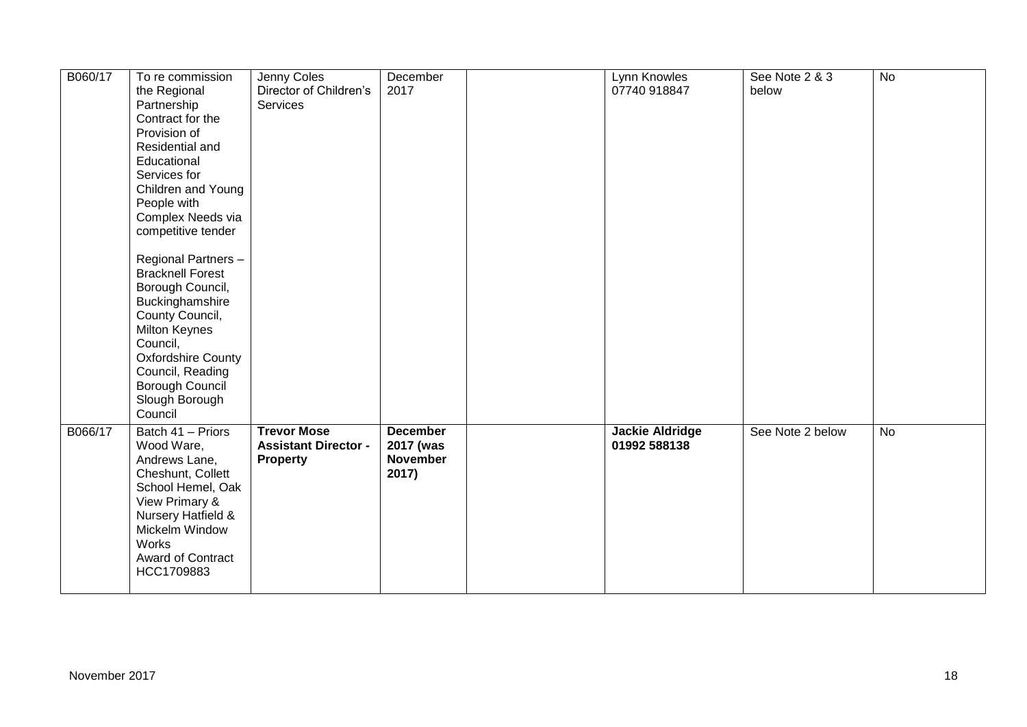| B060/17 | To re commission<br>the Regional<br>Partnership<br>Contract for the<br>Provision of<br>Residential and<br>Educational<br>Services for<br>Children and Young<br>People with<br>Complex Needs via<br>competitive tender<br>Regional Partners -<br><b>Bracknell Forest</b><br>Borough Council,<br>Buckinghamshire<br>County Council,<br>Milton Keynes<br>Council,<br><b>Oxfordshire County</b><br>Council, Reading<br>Borough Council<br>Slough Borough<br>Council | Jenny Coles<br>Director of Children's<br>Services             | December<br>2017                                         | Lynn Knowles<br>07740 918847           | See Note 2 & 3<br>below | $\overline{N}$ |
|---------|-----------------------------------------------------------------------------------------------------------------------------------------------------------------------------------------------------------------------------------------------------------------------------------------------------------------------------------------------------------------------------------------------------------------------------------------------------------------|---------------------------------------------------------------|----------------------------------------------------------|----------------------------------------|-------------------------|----------------|
| B066/17 | Batch 41 - Priors<br>Wood Ware,<br>Andrews Lane,<br>Cheshunt, Collett<br>School Hemel, Oak<br>View Primary &<br>Nursery Hatfield &<br>Mickelm Window<br><b>Works</b><br>Award of Contract<br>HCC1709883                                                                                                                                                                                                                                                         | <b>Trevor Mose</b><br><b>Assistant Director -</b><br>Property | <b>December</b><br>2017 (was<br><b>November</b><br>2017) | <b>Jackie Aldridge</b><br>01992 588138 | See Note 2 below        | No             |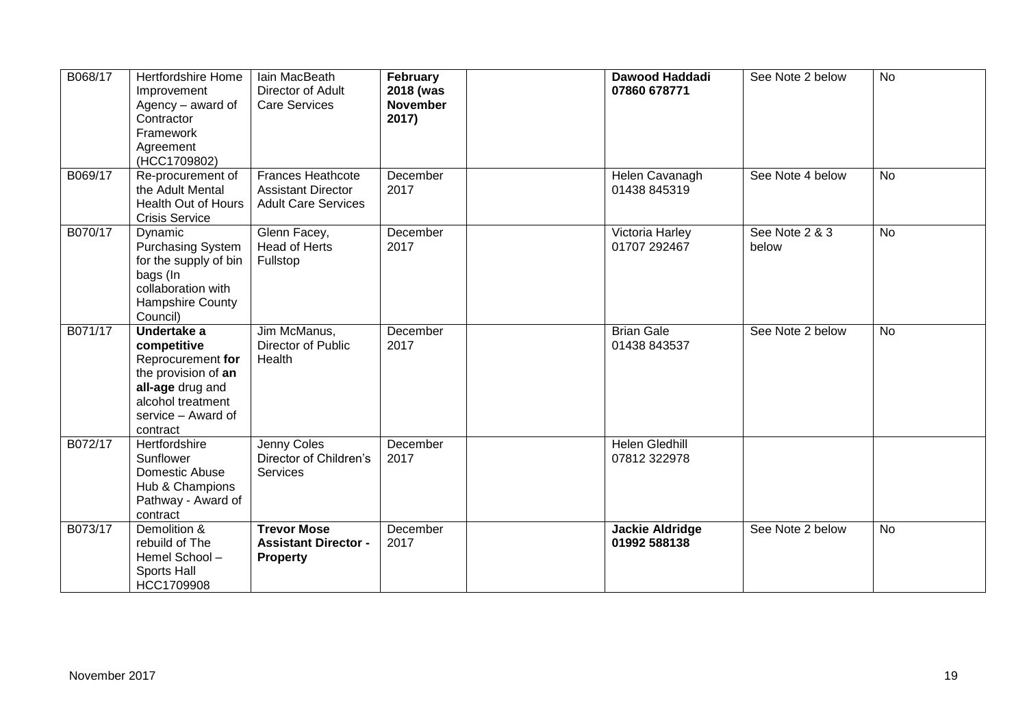| B068/17 | <b>Hertfordshire Home</b><br>Improvement<br>Agency - award of<br>Contractor<br>Framework<br>Agreement<br>(HCC1709802)                             | Iain MacBeath<br>Director of Adult<br><b>Care Services</b>                          | February<br>2018 (was<br><b>November</b><br>2017) | Dawood Haddadi<br>07860 678771         | See Note 2 below        | <b>No</b> |
|---------|---------------------------------------------------------------------------------------------------------------------------------------------------|-------------------------------------------------------------------------------------|---------------------------------------------------|----------------------------------------|-------------------------|-----------|
| B069/17 | Re-procurement of<br>the Adult Mental<br>Health Out of Hours<br><b>Crisis Service</b>                                                             | <b>Frances Heathcote</b><br><b>Assistant Director</b><br><b>Adult Care Services</b> | December<br>2017                                  | Helen Cavanagh<br>01438 845319         | See Note 4 below        | <b>No</b> |
| B070/17 | Dynamic<br><b>Purchasing System</b><br>for the supply of bin<br>bags (In<br>collaboration with<br>Hampshire County<br>Council)                    | Glenn Facey,<br>Head of Herts<br>Fullstop                                           | December<br>2017                                  | Victoria Harley<br>01707 292467        | See Note 2 & 3<br>below | <b>No</b> |
| B071/17 | Undertake a<br>competitive<br>Reprocurement for<br>the provision of an<br>all-age drug and<br>alcohol treatment<br>service - Award of<br>contract | Jim McManus,<br>Director of Public<br>Health                                        | December<br>2017                                  | <b>Brian Gale</b><br>01438 843537      | See Note 2 below        | <b>No</b> |
| B072/17 | Hertfordshire<br>Sunflower<br>Domestic Abuse<br>Hub & Champions<br>Pathway - Award of<br>contract                                                 | Jenny Coles<br>Director of Children's<br>Services                                   | December<br>2017                                  | <b>Helen Gledhill</b><br>07812 322978  |                         |           |
| B073/17 | Demolition &<br>rebuild of The<br>Hemel School-<br>Sports Hall<br>HCC1709908                                                                      | <b>Trevor Mose</b><br><b>Assistant Director -</b><br><b>Property</b>                | December<br>2017                                  | <b>Jackie Aldridge</b><br>01992 588138 | See Note 2 below        | <b>No</b> |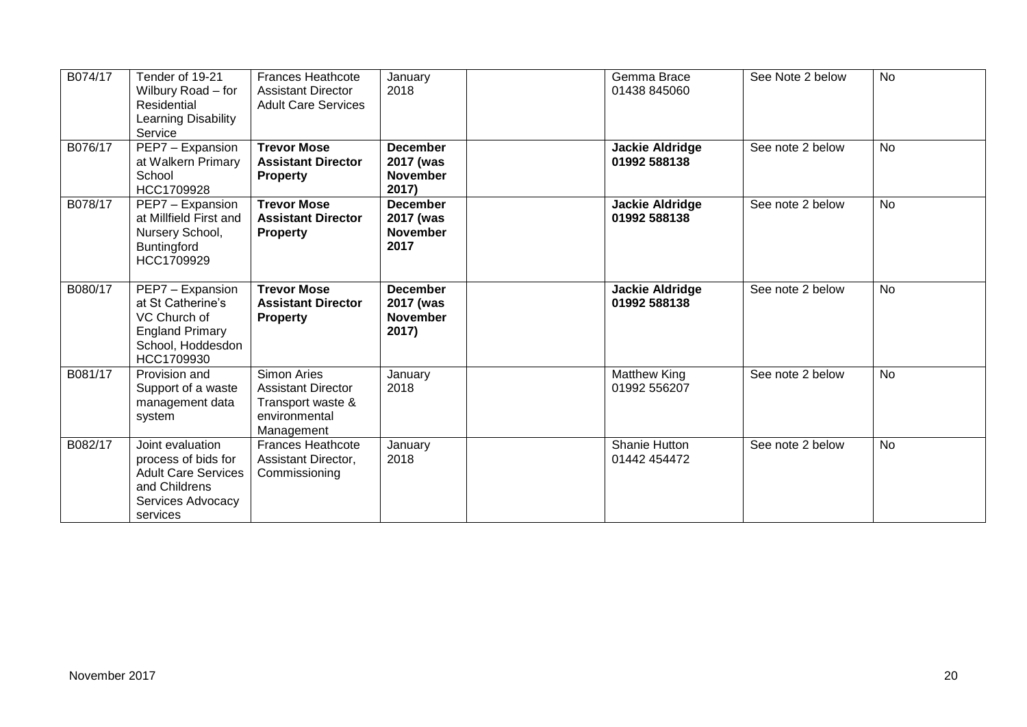| B074/17 | Tender of 19-21<br>Wilbury Road - for<br><b>Residential</b><br>Learning Disability<br>Service                           | <b>Frances Heathcote</b><br><b>Assistant Director</b><br><b>Adult Care Services</b>                 | January<br>2018                                          | Gemma Brace<br>01438 845060            | See Note 2 below | <b>No</b> |
|---------|-------------------------------------------------------------------------------------------------------------------------|-----------------------------------------------------------------------------------------------------|----------------------------------------------------------|----------------------------------------|------------------|-----------|
| B076/17 | PEP7 - Expansion<br>at Walkern Primary<br>School<br>HCC1709928                                                          | <b>Trevor Mose</b><br><b>Assistant Director</b><br><b>Property</b>                                  | <b>December</b><br>2017 (was<br><b>November</b><br>2017) | <b>Jackie Aldridge</b><br>01992 588138 | See note 2 below | <b>No</b> |
| B078/17 | PEP7 - Expansion<br>at Millfield First and<br>Nursery School,<br>Buntingford<br>HCC1709929                              | <b>Trevor Mose</b><br><b>Assistant Director</b><br><b>Property</b>                                  | <b>December</b><br>2017 (was<br><b>November</b><br>2017  | <b>Jackie Aldridge</b><br>01992 588138 | See note 2 below | <b>No</b> |
| B080/17 | PEP7 - Expansion<br>at St Catherine's<br>VC Church of<br><b>England Primary</b><br>School, Hoddesdon<br>HCC1709930      | <b>Trevor Mose</b><br><b>Assistant Director</b><br><b>Property</b>                                  | <b>December</b><br>2017 (was<br><b>November</b><br>2017) | <b>Jackie Aldridge</b><br>01992 588138 | See note 2 below | <b>No</b> |
| B081/17 | Provision and<br>Support of a waste<br>management data<br>system                                                        | <b>Simon Aries</b><br><b>Assistant Director</b><br>Transport waste &<br>environmental<br>Management | January<br>2018                                          | <b>Matthew King</b><br>01992 556207    | See note 2 below | No        |
| B082/17 | Joint evaluation<br>process of bids for<br><b>Adult Care Services</b><br>and Childrens<br>Services Advocacy<br>services | <b>Frances Heathcote</b><br>Assistant Director,<br>Commissioning                                    | January<br>2018                                          | Shanie Hutton<br>01442 454472          | See note 2 below | <b>No</b> |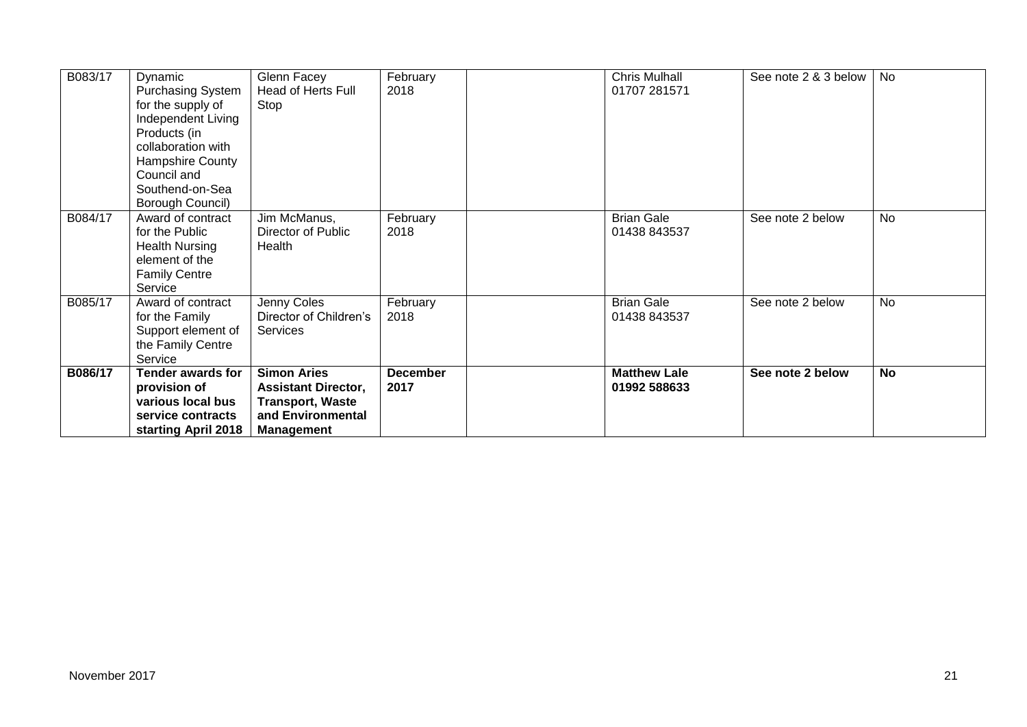| B083/17 | Dynamic<br><b>Purchasing System</b><br>for the supply of<br>Independent Living<br>Products (in<br>collaboration with<br>Hampshire County<br>Council and<br>Southend-on-Sea<br>Borough Council) | Glenn Facey<br>Head of Herts Full<br>Stop                                                                             | February<br>2018        | <b>Chris Mulhall</b><br>01707 281571 | See note 2 & 3 below | No        |
|---------|------------------------------------------------------------------------------------------------------------------------------------------------------------------------------------------------|-----------------------------------------------------------------------------------------------------------------------|-------------------------|--------------------------------------|----------------------|-----------|
| B084/17 | Award of contract<br>for the Public<br><b>Health Nursing</b><br>element of the<br><b>Family Centre</b><br>Service                                                                              | Jim McManus,<br>Director of Public<br>Health                                                                          | February<br>2018        | <b>Brian Gale</b><br>01438 843537    | See note 2 below     | <b>No</b> |
| B085/17 | Award of contract<br>for the Family<br>Support element of<br>the Family Centre<br>Service                                                                                                      | Jenny Coles<br>Director of Children's<br>Services                                                                     | February<br>2018        | <b>Brian Gale</b><br>01438 843537    | See note 2 below     | <b>No</b> |
| B086/17 | <b>Tender awards for</b><br>provision of<br>various local bus<br>service contracts<br>starting April 2018                                                                                      | <b>Simon Aries</b><br><b>Assistant Director,</b><br><b>Transport, Waste</b><br>and Environmental<br><b>Management</b> | <b>December</b><br>2017 | <b>Matthew Lale</b><br>01992 588633  | See note 2 below     | <b>No</b> |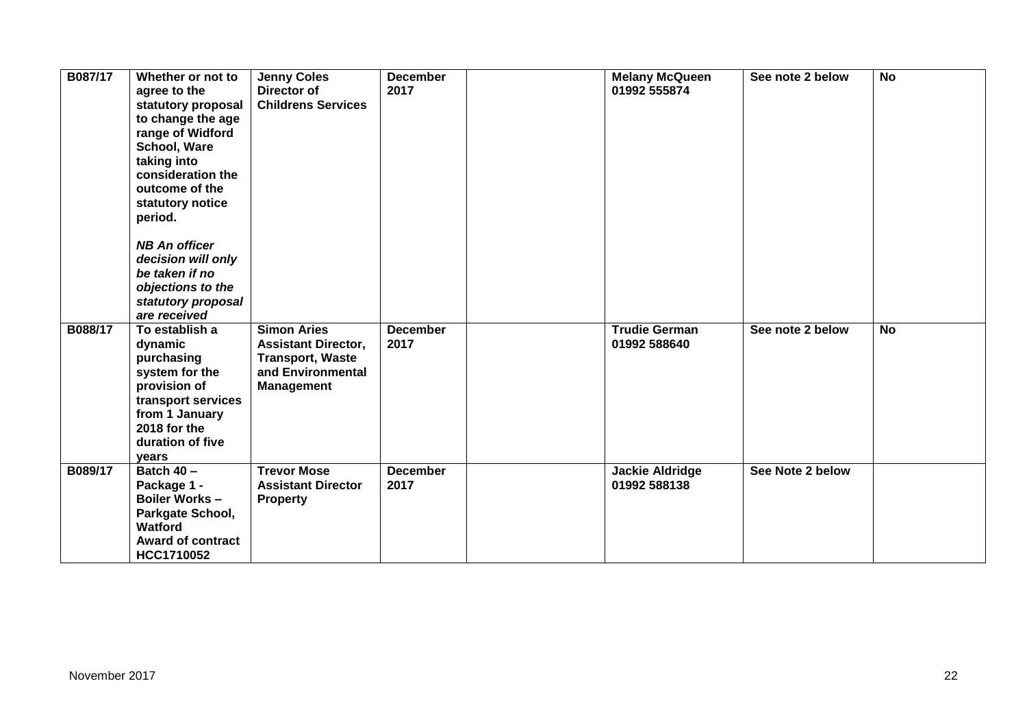| B087/17 | Whether or not to<br>agree to the<br>statutory proposal<br>to change the age<br>range of Widford<br>School, Ware<br>taking into<br>consideration the<br>outcome of the<br>statutory notice<br>period.<br><b>NB An officer</b><br>decision will only<br>be taken if no<br>objections to the<br>statutory proposal<br>are received | <b>Jenny Coles</b><br>Director of<br><b>Childrens Services</b>                                                        | <b>December</b><br>2017 | <b>Melany McQueen</b><br>01992 555874  | See note 2 below | <b>No</b> |
|---------|----------------------------------------------------------------------------------------------------------------------------------------------------------------------------------------------------------------------------------------------------------------------------------------------------------------------------------|-----------------------------------------------------------------------------------------------------------------------|-------------------------|----------------------------------------|------------------|-----------|
| B088/17 | To establish a<br>dynamic<br>purchasing<br>system for the<br>provision of<br>transport services<br>from 1 January<br>2018 for the<br>duration of five<br>years                                                                                                                                                                   | <b>Simon Aries</b><br><b>Assistant Director,</b><br><b>Transport, Waste</b><br>and Environmental<br><b>Management</b> | <b>December</b><br>2017 | <b>Trudie German</b><br>01992 588640   | See note 2 below | <b>No</b> |
| B089/17 | Batch 40 -<br>Package 1 -<br>Boiler Works -<br>Parkgate School,<br><b>Watford</b><br><b>Award of contract</b><br>HCC1710052                                                                                                                                                                                                      | <b>Trevor Mose</b><br><b>Assistant Director</b><br><b>Property</b>                                                    | <b>December</b><br>2017 | <b>Jackie Aldridge</b><br>01992 588138 | See Note 2 below |           |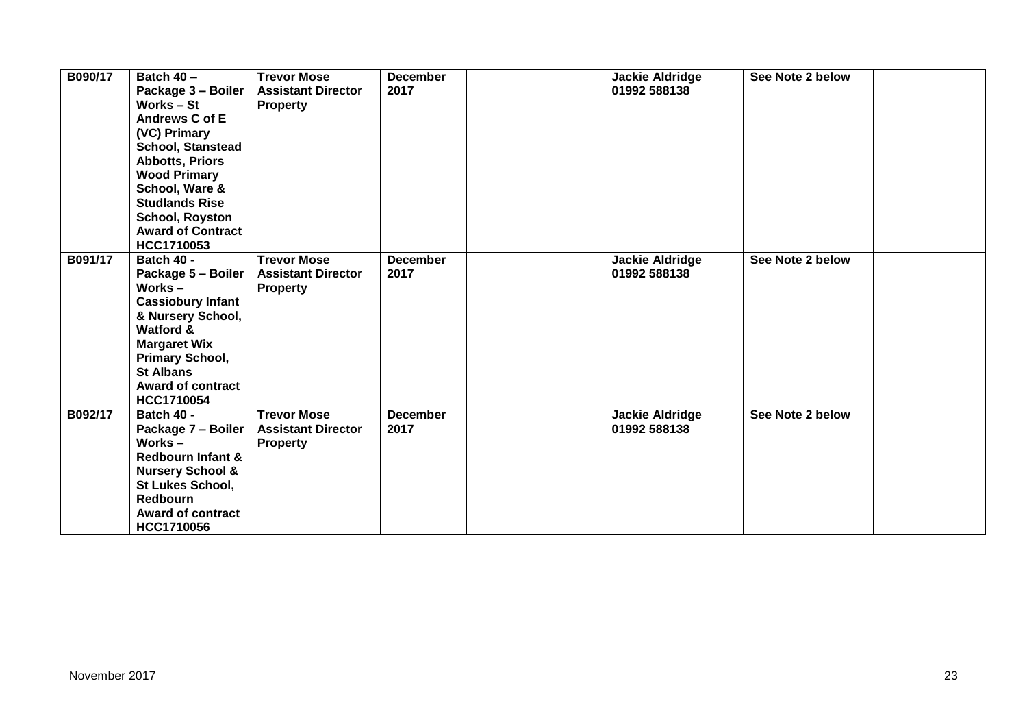| B090/17 | Batch 40 -<br>Package 3 - Boiler<br>Works – St<br>Andrews C of E<br>(VC) Primary<br>School, Stanstead<br><b>Abbotts, Priors</b><br><b>Wood Primary</b><br>School, Ware &<br><b>Studlands Rise</b><br><b>School, Royston</b><br><b>Award of Contract</b><br>HCC1710053 | <b>Trevor Mose</b><br><b>Assistant Director</b><br><b>Property</b> | <b>December</b><br>2017 | <b>Jackie Aldridge</b><br>01992 588138 | See Note 2 below |  |
|---------|-----------------------------------------------------------------------------------------------------------------------------------------------------------------------------------------------------------------------------------------------------------------------|--------------------------------------------------------------------|-------------------------|----------------------------------------|------------------|--|
| B091/17 | <b>Batch 40 -</b><br>Package 5 - Boiler<br>Works $-$<br><b>Cassiobury Infant</b><br>& Nursery School,<br>Watford &<br><b>Margaret Wix</b><br><b>Primary School,</b><br><b>St Albans</b><br>Award of contract<br>HCC1710054                                            | <b>Trevor Mose</b><br><b>Assistant Director</b><br><b>Property</b> | <b>December</b><br>2017 | <b>Jackie Aldridge</b><br>01992 588138 | See Note 2 below |  |
| B092/17 | Batch 40 -<br>Package 7 - Boiler<br>Works $-$<br><b>Redbourn Infant &amp;</b><br><b>Nursery School &amp;</b><br>St Lukes School,<br><b>Redbourn</b><br><b>Award of contract</b><br>HCC1710056                                                                         | <b>Trevor Mose</b><br><b>Assistant Director</b><br><b>Property</b> | <b>December</b><br>2017 | <b>Jackie Aldridge</b><br>01992 588138 | See Note 2 below |  |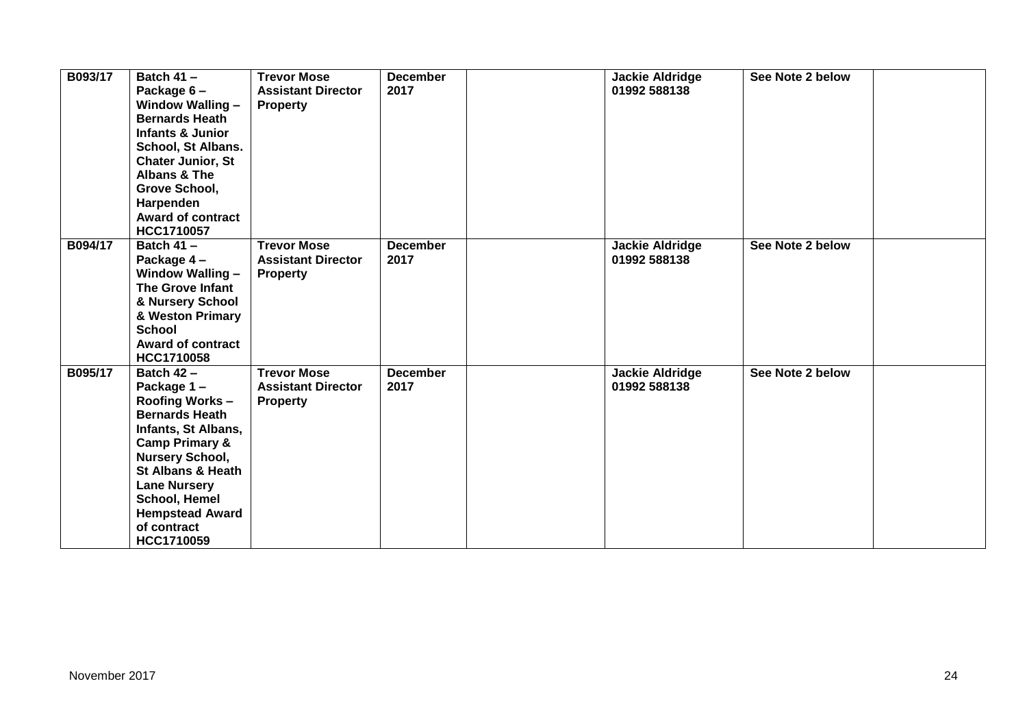| B093/17 | Batch $41 -$<br>Package 6-<br>Window Walling -<br><b>Bernards Heath</b><br><b>Infants &amp; Junior</b><br>School, St Albans.<br><b>Chater Junior, St</b><br><b>Albans &amp; The</b><br>Grove School,<br>Harpenden<br><b>Award of contract</b><br>HCC1710057                                | <b>Trevor Mose</b><br><b>Assistant Director</b><br><b>Property</b> | <b>December</b><br>2017 | <b>Jackie Aldridge</b><br>01992 588138 | See Note 2 below |  |
|---------|--------------------------------------------------------------------------------------------------------------------------------------------------------------------------------------------------------------------------------------------------------------------------------------------|--------------------------------------------------------------------|-------------------------|----------------------------------------|------------------|--|
| B094/17 | Batch $41 -$<br>Package 4-<br>Window Walling -<br>The Grove Infant<br>& Nursery School<br>& Weston Primary<br><b>School</b><br><b>Award of contract</b><br><b>HCC1710058</b>                                                                                                               | <b>Trevor Mose</b><br><b>Assistant Director</b><br><b>Property</b> | <b>December</b><br>2017 | <b>Jackie Aldridge</b><br>01992 588138 | See Note 2 below |  |
| B095/17 | Batch $42 -$<br>Package 1-<br>Roofing Works -<br><b>Bernards Heath</b><br>Infants, St Albans,<br><b>Camp Primary &amp;</b><br><b>Nursery School,</b><br><b>St Albans &amp; Heath</b><br><b>Lane Nursery</b><br><b>School, Hemel</b><br><b>Hempstead Award</b><br>of contract<br>HCC1710059 | <b>Trevor Mose</b><br><b>Assistant Director</b><br><b>Property</b> | <b>December</b><br>2017 | <b>Jackie Aldridge</b><br>01992 588138 | See Note 2 below |  |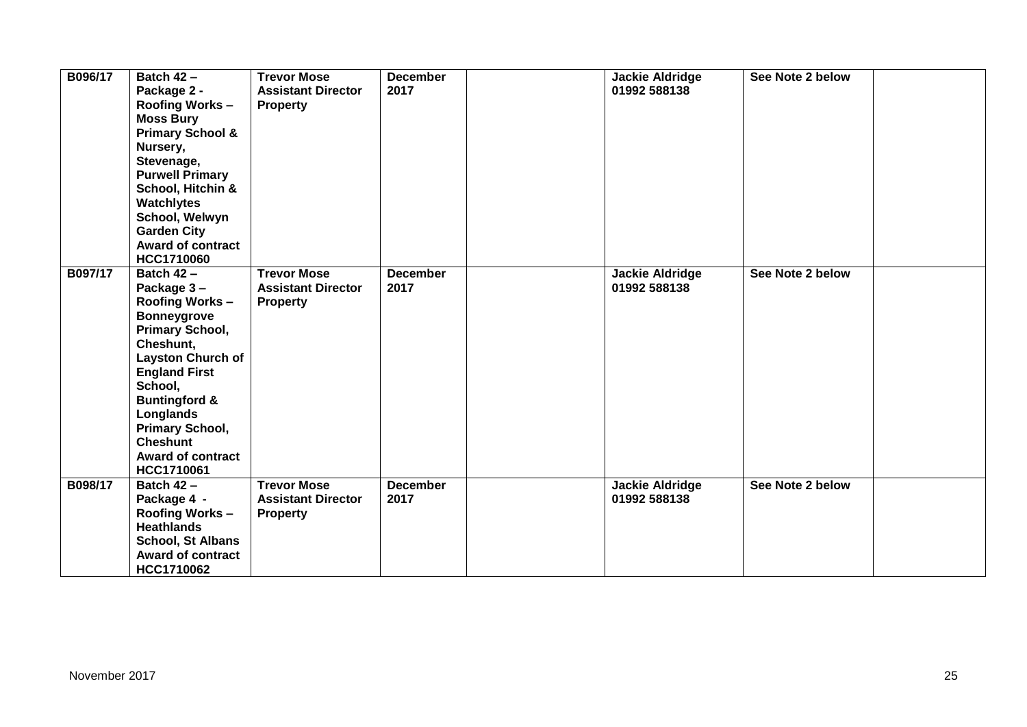| B096/17 | <b>Batch 42 -</b><br>Package 2 -<br><b>Roofing Works-</b><br><b>Moss Bury</b><br><b>Primary School &amp;</b><br>Nursery,<br>Stevenage,<br><b>Purwell Primary</b><br>School, Hitchin &<br><b>Watchlytes</b><br>School, Welwyn<br><b>Garden City</b><br><b>Award of contract</b><br><b>HCC1710060</b>                  | <b>Trevor Mose</b><br><b>Assistant Director</b><br><b>Property</b> | <b>December</b><br>2017 | <b>Jackie Aldridge</b><br>01992 588138 | See Note 2 below |
|---------|----------------------------------------------------------------------------------------------------------------------------------------------------------------------------------------------------------------------------------------------------------------------------------------------------------------------|--------------------------------------------------------------------|-------------------------|----------------------------------------|------------------|
| B097/17 | <b>Batch 42 -</b><br>Package 3-<br><b>Roofing Works-</b><br><b>Bonneygrove</b><br><b>Primary School,</b><br>Cheshunt,<br><b>Layston Church of</b><br><b>England First</b><br>School,<br><b>Buntingford &amp;</b><br>Longlands<br><b>Primary School,</b><br><b>Cheshunt</b><br><b>Award of contract</b><br>HCC1710061 | <b>Trevor Mose</b><br><b>Assistant Director</b><br><b>Property</b> | <b>December</b><br>2017 | <b>Jackie Aldridge</b><br>01992 588138 | See Note 2 below |
| B098/17 | Batch $42 -$<br>Package 4 -<br><b>Roofing Works-</b><br><b>Heathlands</b><br><b>School, St Albans</b><br><b>Award of contract</b><br>HCC1710062                                                                                                                                                                      | <b>Trevor Mose</b><br><b>Assistant Director</b><br><b>Property</b> | <b>December</b><br>2017 | <b>Jackie Aldridge</b><br>01992 588138 | See Note 2 below |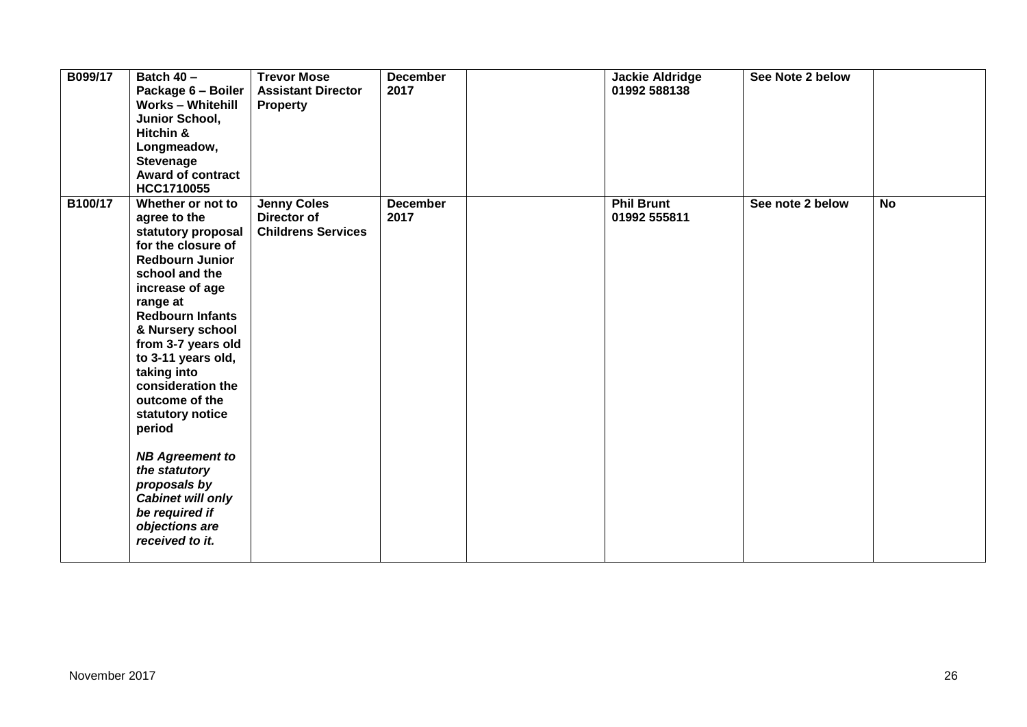| B099/17 | Batch 40 -<br>Package 6 - Boiler<br><b>Works - Whitehill</b><br>Junior School,<br>Hitchin &<br>Longmeadow,<br><b>Stevenage</b><br><b>Award of contract</b><br>HCC1710055                                                                                                                                                                                                                                                                                                              | <b>Trevor Mose</b><br><b>Assistant Director</b><br><b>Property</b> | <b>December</b><br>2017 | <b>Jackie Aldridge</b><br>01992 588138 | See Note 2 below |           |
|---------|---------------------------------------------------------------------------------------------------------------------------------------------------------------------------------------------------------------------------------------------------------------------------------------------------------------------------------------------------------------------------------------------------------------------------------------------------------------------------------------|--------------------------------------------------------------------|-------------------------|----------------------------------------|------------------|-----------|
| B100/17 | Whether or not to<br>agree to the<br>statutory proposal<br>for the closure of<br><b>Redbourn Junior</b><br>school and the<br>increase of age<br>range at<br><b>Redbourn Infants</b><br>& Nursery school<br>from 3-7 years old<br>to 3-11 years old,<br>taking into<br>consideration the<br>outcome of the<br>statutory notice<br>period<br><b>NB Agreement to</b><br>the statutory<br>proposals by<br><b>Cabinet will only</b><br>be required if<br>objections are<br>received to it. | <b>Jenny Coles</b><br>Director of<br><b>Childrens Services</b>     | <b>December</b><br>2017 | <b>Phil Brunt</b><br>01992 555811      | See note 2 below | <b>No</b> |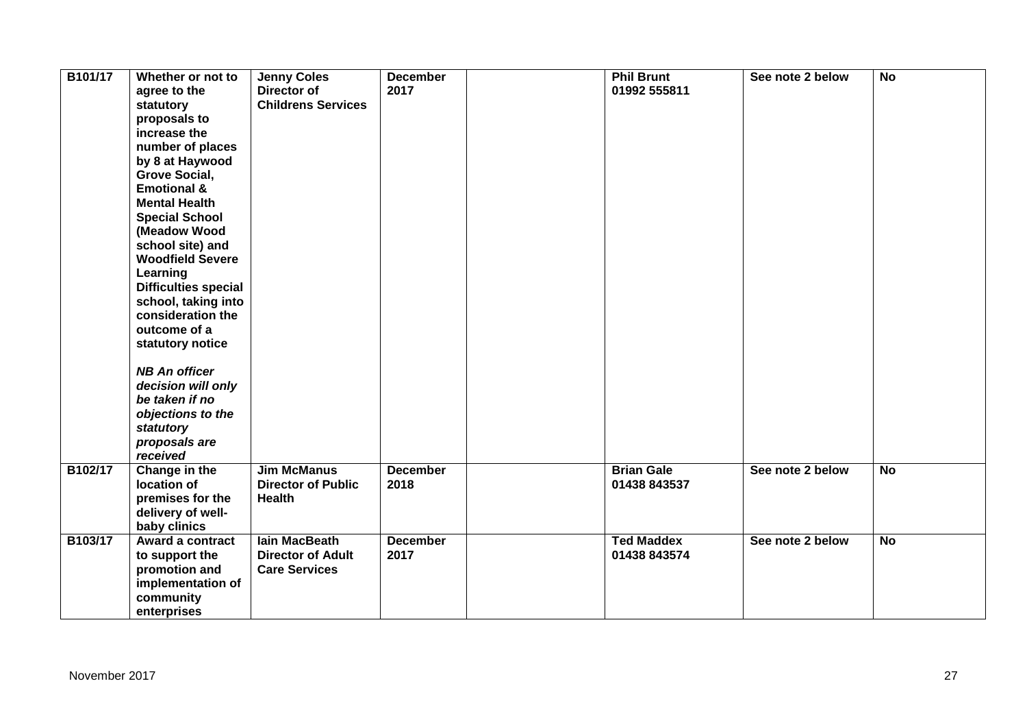| B101/17 | Whether or not to<br>agree to the<br>statutory<br>proposals to<br>increase the<br>number of places<br>by 8 at Haywood<br><b>Grove Social,</b><br><b>Emotional &amp;</b><br><b>Mental Health</b><br><b>Special School</b><br>(Meadow Wood<br>school site) and<br><b>Woodfield Severe</b><br>Learning<br><b>Difficulties special</b><br>school, taking into<br>consideration the<br>outcome of a<br>statutory notice<br><b>NB An officer</b><br>decision will only<br>be taken if no<br>objections to the<br>statutory<br>proposals are<br>received | <b>Jenny Coles</b><br>Director of<br><b>Childrens Services</b>    | <b>December</b><br>2017 | <b>Phil Brunt</b><br>01992 555811 | See note 2 below | <b>No</b> |
|---------|---------------------------------------------------------------------------------------------------------------------------------------------------------------------------------------------------------------------------------------------------------------------------------------------------------------------------------------------------------------------------------------------------------------------------------------------------------------------------------------------------------------------------------------------------|-------------------------------------------------------------------|-------------------------|-----------------------------------|------------------|-----------|
| B102/17 | Change in the<br>location of<br>premises for the<br>delivery of well-<br>baby clinics                                                                                                                                                                                                                                                                                                                                                                                                                                                             | <b>Jim McManus</b><br><b>Director of Public</b><br><b>Health</b>  | <b>December</b><br>2018 | <b>Brian Gale</b><br>01438 843537 | See note 2 below | <b>No</b> |
| B103/17 | Award a contract<br>to support the<br>promotion and<br>implementation of<br>community<br>enterprises                                                                                                                                                                                                                                                                                                                                                                                                                                              | lain MacBeath<br><b>Director of Adult</b><br><b>Care Services</b> | <b>December</b><br>2017 | <b>Ted Maddex</b><br>01438 843574 | See note 2 below | <b>No</b> |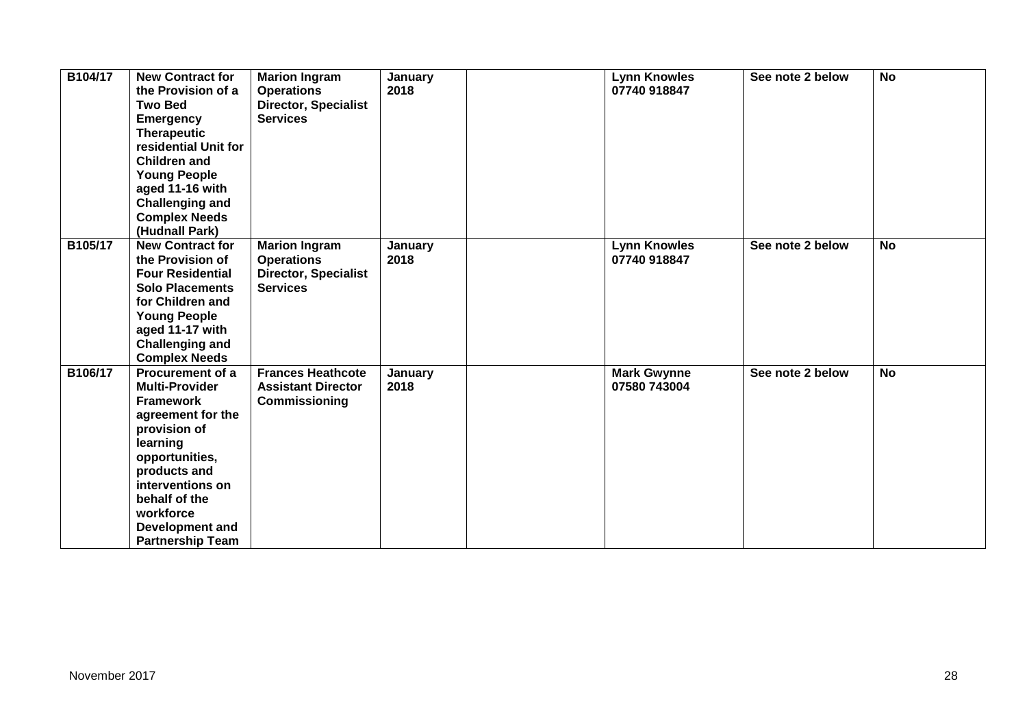| B104/17 | <b>New Contract for</b><br>the Provision of a<br><b>Two Bed</b><br><b>Emergency</b><br><b>Therapeutic</b><br>residential Unit for<br><b>Children and</b><br><b>Young People</b><br>aged 11-16 with<br><b>Challenging and</b><br><b>Complex Needs</b><br>(Hudnall Park) | <b>Marion Ingram</b><br><b>Operations</b><br><b>Director, Specialist</b><br><b>Services</b> | January<br>2018 | <b>Lynn Knowles</b><br>07740 918847 | See note 2 below | <b>No</b> |
|---------|------------------------------------------------------------------------------------------------------------------------------------------------------------------------------------------------------------------------------------------------------------------------|---------------------------------------------------------------------------------------------|-----------------|-------------------------------------|------------------|-----------|
| B105/17 | <b>New Contract for</b><br>the Provision of<br><b>Four Residential</b><br><b>Solo Placements</b><br>for Children and<br><b>Young People</b><br>aged 11-17 with<br><b>Challenging and</b><br><b>Complex Needs</b>                                                       | <b>Marion Ingram</b><br><b>Operations</b><br><b>Director, Specialist</b><br><b>Services</b> | January<br>2018 | <b>Lynn Knowles</b><br>07740 918847 | See note 2 below | <b>No</b> |
| B106/17 | Procurement of a<br><b>Multi-Provider</b><br><b>Framework</b><br>agreement for the<br>provision of<br>learning<br>opportunities,<br>products and<br>interventions on<br>behalf of the<br>workforce<br>Development and<br><b>Partnership Team</b>                       | <b>Frances Heathcote</b><br><b>Assistant Director</b><br>Commissioning                      | January<br>2018 | <b>Mark Gwynne</b><br>07580 743004  | See note 2 below | <b>No</b> |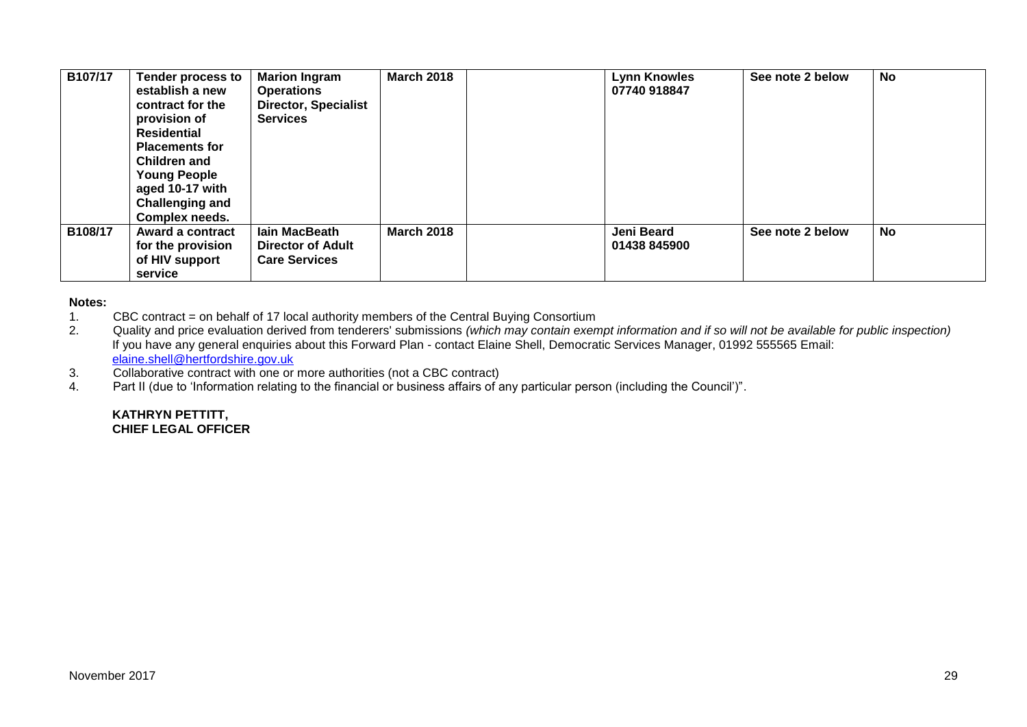| B107/17 | <b>Tender process to</b><br>establish a new<br>contract for the<br>provision of<br><b>Residential</b><br><b>Placements for</b><br>Children and<br><b>Young People</b><br>aged 10-17 with<br><b>Challenging and</b><br>Complex needs. | <b>Marion Ingram</b><br><b>Operations</b><br><b>Director, Specialist</b><br><b>Services</b> | <b>March 2018</b> | <b>Lynn Knowles</b><br>07740 918847 | See note 2 below | <b>No</b> |
|---------|--------------------------------------------------------------------------------------------------------------------------------------------------------------------------------------------------------------------------------------|---------------------------------------------------------------------------------------------|-------------------|-------------------------------------|------------------|-----------|
| B108/17 | Award a contract<br>for the provision<br>of HIV support<br>service                                                                                                                                                                   | lain MacBeath<br><b>Director of Adult</b><br><b>Care Services</b>                           | <b>March 2018</b> | Jeni Beard<br>01438 845900          | See note 2 below | No        |

#### **Notes:**

- 1. CBC contract = on behalf of 17 local authority members of the Central Buying Consortium
- 2. Quality and price evaluation derived from tenderers' submissions *(which may contain exempt information and if so will not be available for public inspection)* If you have any general enquiries about this Forward Plan - contact Elaine Shell, Democratic Services Manager, 01992 555565 Email: [elaine.shell@hertfordshire.gov.uk](mailto:elaine.shell@hertfordshire.gov.uk)
- 3. Collaborative contract with one or more authorities (not a CBC contract)
- 4. Part II (due to 'Information relating to the financial or business affairs of any particular person (including the Council')".

#### **KATHRYN PETTITT, CHIEF LEGAL OFFICER**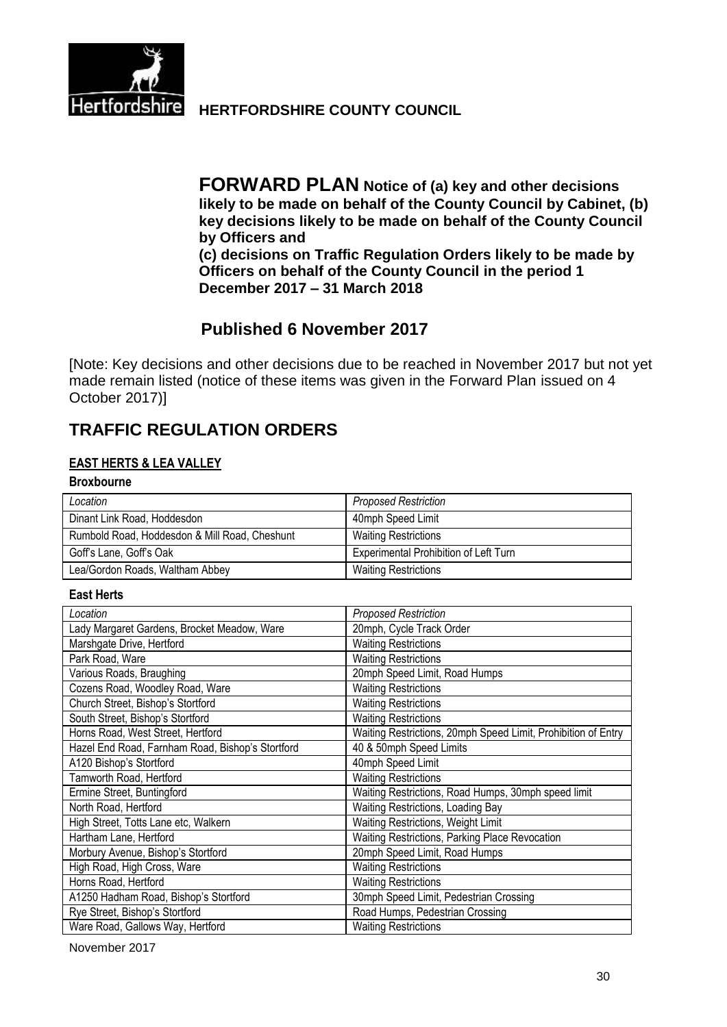

**Hertfordshire HERTFORDSHIRE COUNTY COUNCIL** 

**FORWARD PLAN Notice of (a) key and other decisions likely to be made on behalf of the County Council by Cabinet, (b) key decisions likely to be made on behalf of the County Council by Officers and (c) decisions on Traffic Regulation Orders likely to be made by Officers on behalf of the County Council in the period 1 December 2017 – 31 March 2018**

# **Published 6 November 2017**

[Note: Key decisions and other decisions due to be reached in November 2017 but not yet made remain listed (notice of these items was given in the Forward Plan issued on 4 October 2017)]

# **TRAFFIC REGULATION ORDERS**

## **EAST HERTS & LEA VALLEY**

#### **Broxbourne**

| Location                                      | <b>Proposed Restriction</b>           |
|-----------------------------------------------|---------------------------------------|
| Dinant Link Road, Hoddesdon                   | 40mph Speed Limit                     |
| Rumbold Road, Hoddesdon & Mill Road, Cheshunt | <b>Waiting Restrictions</b>           |
| Goff's Lane, Goff's Oak                       | Experimental Prohibition of Left Turn |
| Lea/Gordon Roads, Waltham Abbey               | <b>Waiting Restrictions</b>           |

#### **East Herts**

| Location                                         | <b>Proposed Restriction</b>                                   |
|--------------------------------------------------|---------------------------------------------------------------|
| Lady Margaret Gardens, Brocket Meadow, Ware      | 20mph, Cycle Track Order                                      |
| Marshgate Drive, Hertford                        | <b>Waiting Restrictions</b>                                   |
| Park Road, Ware                                  | <b>Waiting Restrictions</b>                                   |
| Various Roads, Braughing                         | 20mph Speed Limit, Road Humps                                 |
| Cozens Road, Woodley Road, Ware                  | <b>Waiting Restrictions</b>                                   |
| Church Street, Bishop's Stortford                | <b>Waiting Restrictions</b>                                   |
| South Street, Bishop's Stortford                 | <b>Waiting Restrictions</b>                                   |
| Horns Road, West Street, Hertford                | Waiting Restrictions, 20mph Speed Limit, Prohibition of Entry |
| Hazel End Road, Farnham Road, Bishop's Stortford | 40 & 50mph Speed Limits                                       |
| A120 Bishop's Stortford                          | 40mph Speed Limit                                             |
| Tamworth Road, Hertford                          | <b>Waiting Restrictions</b>                                   |
| Ermine Street, Buntingford                       | Waiting Restrictions, Road Humps, 30mph speed limit           |
| North Road, Hertford                             | Waiting Restrictions, Loading Bay                             |
| High Street, Totts Lane etc, Walkern             | Waiting Restrictions, Weight Limit                            |
| Hartham Lane, Hertford                           | Waiting Restrictions, Parking Place Revocation                |
| Morbury Avenue, Bishop's Stortford               | 20mph Speed Limit, Road Humps                                 |
| High Road, High Cross, Ware                      | <b>Waiting Restrictions</b>                                   |
| Horns Road, Hertford                             | <b>Waiting Restrictions</b>                                   |
| A1250 Hadham Road, Bishop's Stortford            | 30mph Speed Limit, Pedestrian Crossing                        |
| Rye Street, Bishop's Stortford                   | Road Humps, Pedestrian Crossing                               |
| Ware Road, Gallows Way, Hertford                 | <b>Waiting Restrictions</b>                                   |

November 2017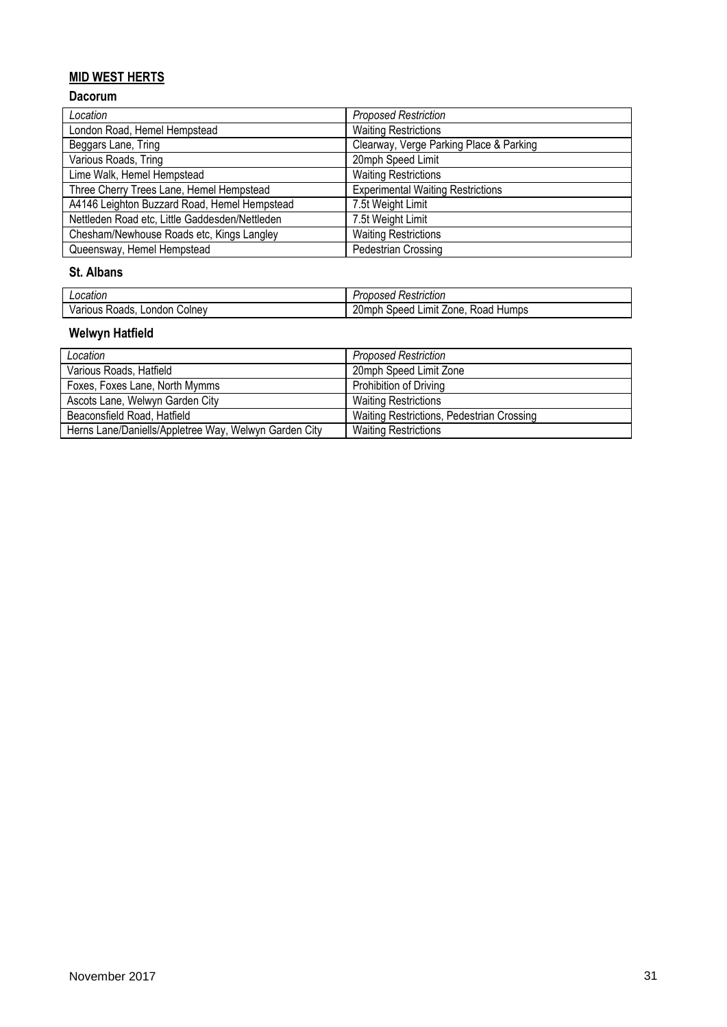## **MID WEST HERTS**

### **Dacorum**

| Location                                       | <b>Proposed Restriction</b>              |
|------------------------------------------------|------------------------------------------|
| London Road, Hemel Hempstead                   | <b>Waiting Restrictions</b>              |
| Beggars Lane, Tring                            | Clearway, Verge Parking Place & Parking  |
| Various Roads, Tring                           | 20mph Speed Limit                        |
| Lime Walk, Hemel Hempstead                     | <b>Waiting Restrictions</b>              |
| Three Cherry Trees Lane, Hemel Hempstead       | <b>Experimental Waiting Restrictions</b> |
| A4146 Leighton Buzzard Road, Hemel Hempstead   | 7.5t Weight Limit                        |
| Nettleden Road etc, Little Gaddesden/Nettleden | 7.5t Weight Limit                        |
| Chesham/Newhouse Roads etc, Kings Langley      | <b>Waiting Restrictions</b>              |
| Queensway, Hemel Hempstead                     | Pedestrian Crossing                      |

#### **St. Albans**

| Location                              | <br>Restriction<br>roposed<br>. Jeon           |
|---------------------------------------|------------------------------------------------|
| Londor<br>olnevٽ<br>Various<br>Roads. | 20mph<br>Limit Zone.<br>Humps<br>speed<br>≺oad |

## **Welwyn Hatfield**

| Location                                              | <b>Proposed Restriction</b>               |
|-------------------------------------------------------|-------------------------------------------|
| Various Roads, Hatfield                               | 20mph Speed Limit Zone                    |
| Foxes, Foxes Lane, North Mymms                        | Prohibition of Driving                    |
| Ascots Lane, Welwyn Garden City                       | <b>Waiting Restrictions</b>               |
| Beaconsfield Road, Hatfield                           | Waiting Restrictions, Pedestrian Crossing |
| Herns Lane/Daniells/Appletree Way, Welwyn Garden City | <b>Waiting Restrictions</b>               |